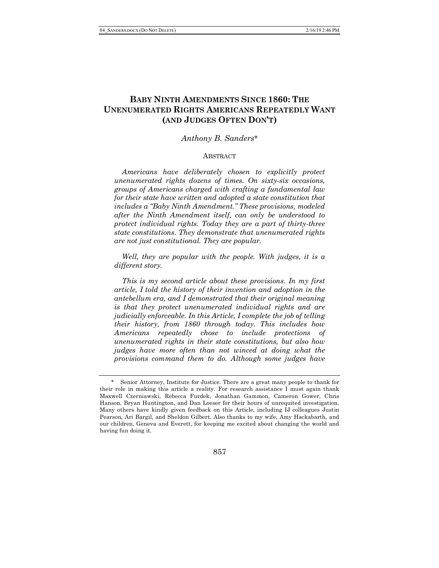# **BABY NINTH AMENDMENTS SINCE 1860: THE UNENUMERATED RIGHTS AMERICANS REPEATEDLY WANT (AND JUDGES OFTEN DON'T)**

# *Anthony B. Sanders\**

#### ABSTRACT

*Americans have deliberately chosen to explicitly protect unenumerated rights dozens of times. On sixty-six occasions, groups of Americans charged with crafting a fundamental law for their state have written and adopted a state constitution that includes a "Baby Ninth Amendment." These provisions, modeled after the Ninth Amendment itself, can only be understood to protect individual rights. Today they are a part of thirty-three state constitutions. They demonstrate that unenumerated rights are not just constitutional. They are popular.*

*Well, they are popular with the people. With judges, it is a different story.*

*This is my second article about these provisions. In my first article, I told the history of their invention and adoption in the antebellum era, and I demonstrated that their original meaning is that they protect unenumerated individual rights and are judicially enforceable. In this Article, I complete the job of telling their history, from 1860 through today. This includes how Americans repeatedly chose to include protections of unenumerated rights in their state constitutions, but also how judges have more often than not winced at doing what the provisions command them to do. Although some judges have* 

Senior Attorney, Institute for Justice. There are a great many people to thank for their role in making this article a reality. For research assistance I must again thank Maxwell Czerniawski, Rebecca Furdek, Jonathan Gammon, Cameron Gower, Chris Hanson, Bryan Huntington, and Dan Loeser for their hours of unrequited investigation. Many others have kindly given feedback on this Article, including IJ colleagues Justin Pearson, Ari Bargil, and Sheldon Gilbert. Also thanks to my wife, Amy Hackabarth, and our children, Geneva and Everett, for keeping me excited about changing the world and having fun doing it.

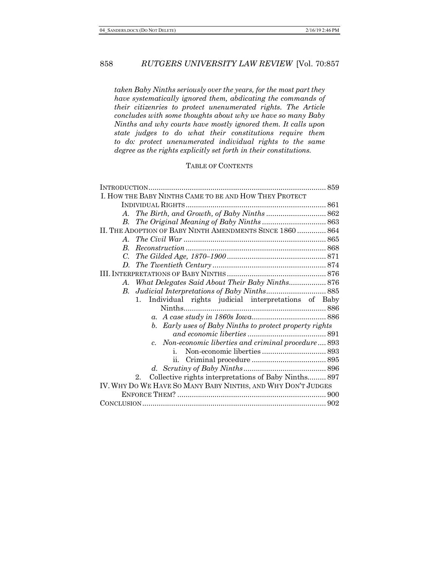*taken Baby Ninths seriously over the years, for the most part they have systematically ignored them, abdicating the commands of their citizenries to protect unenumerated rights. The Article concludes with some thoughts about why we have so many Baby Ninths and why courts have mostly ignored them. It calls upon state judges to do what their constitutions require them to do: protect unenumerated individual rights to the same degree as the rights explicitly set forth in their constitutions.*

# TABLE OF CONTENTS

| I. HOW THE BABY NINTHS CAME TO BE AND HOW THEY PROTECT          |
|-----------------------------------------------------------------|
|                                                                 |
|                                                                 |
| $B_{\cdot}$                                                     |
| II. THE ADOPTION OF BABY NINTH AMENDMENTS SINCE 1860  864       |
| $A_{\cdot}$                                                     |
| $B_{\cdot}$                                                     |
| C.                                                              |
| D.                                                              |
|                                                                 |
| A.                                                              |
| B.                                                              |
| Individual rights judicial interpretations of Baby<br>$1_{-}$   |
| $Ninths$                                                        |
|                                                                 |
| b. Early uses of Baby Ninths to protect property rights         |
|                                                                 |
| c. Non-economic liberties and criminal procedure 893            |
| Ť.                                                              |
|                                                                 |
|                                                                 |
| Collective rights interpretations of Baby Ninths 897<br>$2_{-}$ |
| IV. WHY DO WE HAVE SO MANY BABY NINTHS, AND WHY DON'T JUDGES    |
|                                                                 |
|                                                                 |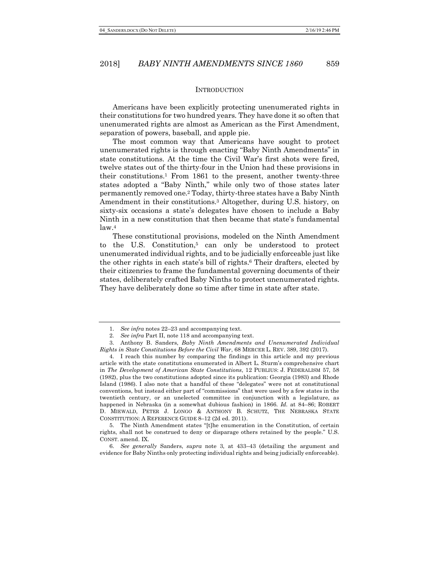#### **INTRODUCTION**

Americans have been explicitly protecting unenumerated rights in their constitutions for two hundred years. They have done it so often that unenumerated rights are almost as American as the First Amendment, separation of powers, baseball, and apple pie.

The most common way that Americans have sought to protect unenumerated rights is through enacting "Baby Ninth Amendments" in state constitutions. At the time the Civil War's first shots were fired, twelve states out of the thirty-four in the Union had these provisions in their constitutions.1 From 1861 to the present, another twenty-three states adopted a "Baby Ninth," while only two of those states later permanently removed one.2 Today, thirty-three states have a Baby Ninth Amendment in their constitutions.3 Altogether, during U.S. history, on sixty-six occasions a state's delegates have chosen to include a Baby Ninth in a new constitution that then became that state's fundamental  $law.<sup>4</sup>$ 

These constitutional provisions, modeled on the Ninth Amendment to the U.S. Constitution,<sup>5</sup> can only be understood to protect unenumerated individual rights, and to be judicially enforceable just like the other rights in each state's bill of rights.6 Their drafters, elected by their citizenries to frame the fundamental governing documents of their states, deliberately crafted Baby Ninths to protect unenumerated rights. They have deliberately done so time after time in state after state.

6. *See generally* Sanders, *supra* note 3, at 433–43 (detailing the argument and evidence for Baby Ninths only protecting individual rights and being judicially enforceable).

<sup>1.</sup> *See infra* notes 22–23 and accompanying text.

<sup>2.</sup> *See infra* Part II, note 118 and accompanying text.

<sup>3.</sup> Anthony B. Sanders, *Baby Ninth Amendments and Unenumerated Individual Rights in State Constitutions Before the Civil War*, 68 MERCER L. REV. 389, 392 (2017).

<sup>4.</sup> I reach this number by comparing the findings in this article and my previous article with the state constitutions enumerated in Albert L. Sturm's comprehensive chart in *The Development of American State Constitutions*, 12 PUBLIUS: J. FEDERALISM 57, 58 (1982), plus the two constitutions adopted since its publication: Georgia (1983) and Rhode Island (1986). I also note that a handful of these "delegates" were not at constitutional conventions, but instead either part of "commissions" that were used by a few states in the twentieth century, or an unelected committee in conjunction with a legislature, as happened in Nebraska (in a somewhat dubious fashion) in 1866. *Id.* at 84–86; ROBERT D. MIEWALD, PETER J. LONGO & ANTHONY B. SCHUTZ, THE NEBRASKA STATE CONSTITUTION: A REFERENCE GUIDE 8–12 (2d ed. 2011).

<sup>5.</sup> The Ninth Amendment states "[t]he enumeration in the Constitution, of certain rights, shall not be construed to deny or disparage others retained by the people." U.S. CONST. amend. IX.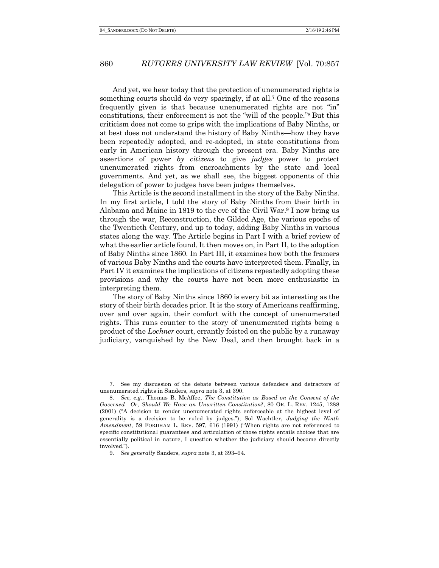And yet, we hear today that the protection of unenumerated rights is something courts should do very sparingly, if at all.7 One of the reasons frequently given is that because unenumerated rights are not "in" constitutions, their enforcement is not the "will of the people."8 But this criticism does not come to grips with the implications of Baby Ninths, or at best does not understand the history of Baby Ninths—how they have been repeatedly adopted, and re-adopted, in state constitutions from early in American history through the present era. Baby Ninths are assertions of power *by citizens* to give *judges* power to protect unenumerated rights from encroachments by the state and local governments. And yet, as we shall see, the biggest opponents of this delegation of power to judges have been judges themselves.

This Article is the second installment in the story of the Baby Ninths. In my first article, I told the story of Baby Ninths from their birth in Alabama and Maine in 1819 to the eve of the Civil War.<sup>9</sup> I now bring us through the war, Reconstruction, the Gilded Age, the various epochs of the Twentieth Century, and up to today, adding Baby Ninths in various states along the way. The Article begins in Part I with a brief review of what the earlier article found. It then moves on, in Part II, to the adoption of Baby Ninths since 1860. In Part III, it examines how both the framers of various Baby Ninths and the courts have interpreted them. Finally, in Part IV it examines the implications of citizens repeatedly adopting these provisions and why the courts have not been more enthusiastic in interpreting them.

The story of Baby Ninths since 1860 is every bit as interesting as the story of their birth decades prior. It is the story of Americans reaffirming, over and over again, their comfort with the concept of unenumerated rights. This runs counter to the story of unenumerated rights being a product of the *Lochner* court, errantly foisted on the public by a runaway judiciary, vanquished by the New Deal, and then brought back in a

<sup>7.</sup> See my discussion of the debate between various defenders and detractors of unenumerated rights in Sanders, *supra* note 3, at 390.

<sup>8.</sup> *See, e.g.*, Thomas B. McAffee, *The Constitution as Based on the Consent of the Governed—Or, Should We Have an Unwritten Constitution?*, 80 OR. L. REV. 1245, 1288 (2001) ("A decision to render unenumerated rights enforceable at the highest level of generality is a decision to be ruled by judges."); Sol Wachtler, *Judging the Ninth Amendment*, 59 FORDHAM L. REV. 597, 616 (1991) ("When rights are not referenced to specific constitutional guarantees and articulation of those rights entails choices that are essentially political in nature, I question whether the judiciary should become directly involved.").

<sup>9.</sup> *See generally* Sanders, *supra* note 3, at 393–94.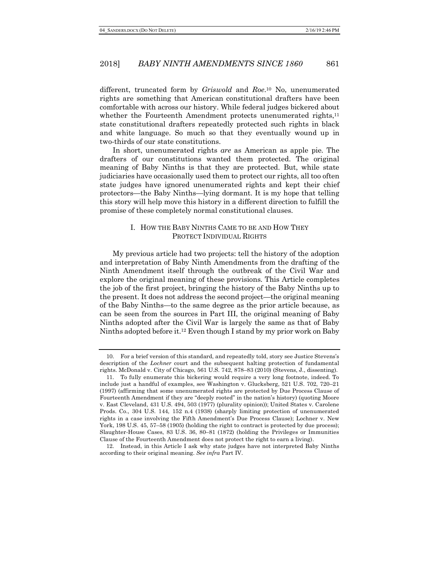different, truncated form by *Griswold* and *Roe*.10 No, unenumerated rights are something that American constitutional drafters have been comfortable with across our history. While federal judges bickered about whether the Fourteenth Amendment protects unenumerated rights,<sup>11</sup> state constitutional drafters repeatedly protected such rights in black and white language. So much so that they eventually wound up in two-thirds of our state constitutions.

In short, unenumerated rights *are* as American as apple pie. The drafters of our constitutions wanted them protected. The original meaning of Baby Ninths is that they are protected. But, while state judiciaries have occasionally used them to protect our rights, all too often state judges have ignored unenumerated rights and kept their chief protectors—the Baby Ninths—lying dormant. It is my hope that telling this story will help move this history in a different direction to fulfill the promise of these completely normal constitutional clauses.

# I. HOW THE BABY NINTHS CAME TO BE AND HOW THEY PROTECT INDIVIDUAL RIGHTS

My previous article had two projects: tell the history of the adoption and interpretation of Baby Ninth Amendments from the drafting of the Ninth Amendment itself through the outbreak of the Civil War and explore the original meaning of these provisions. This Article completes the job of the first project, bringing the history of the Baby Ninths up to the present. It does not address the second project—the original meaning of the Baby Ninths—to the same degree as the prior article because, as can be seen from the sources in Part III, the original meaning of Baby Ninths adopted after the Civil War is largely the same as that of Baby Ninths adopted before it.12 Even though I stand by my prior work on Baby

<sup>10.</sup> For a brief version of this standard, and repeatedly told, story see Justice Stevens's description of the *Lochner* court and the subsequent halting protection of fundamental rights. McDonald v. City of Chicago, 561 U.S. 742, 878–83 (2010) (Stevens, J., dissenting).

<sup>11.</sup> To fully enumerate this bickering would require a very long footnote, indeed. To include just a handful of examples, see Washington v. Glucksberg, 521 U.S. 702, 720–21 (1997) (affirming that some unenumerated rights are protected by Due Process Clause of Fourteenth Amendment if they are "deeply rooted" in the nation's history) (quoting Moore v. East Cleveland, 431 U.S. 494, 503 (1977) (plurality opinion)); United States v. Carolene Prods. Co., 304 U.S. 144, 152 n.4 (1938) (sharply limiting protection of unenumerated rights in a case involving the Fifth Amendment's Due Process Clause); Lochner v. New York, 198 U.S.  $45, 57-58$  (1905) (holding the right to contract is protected by due process); Slaughter-House Cases, 83 U.S. 36, 80–81 (1872) (holding the Privileges or Immunities Clause of the Fourteenth Amendment does not protect the right to earn a living).

<sup>12.</sup> Instead, in this Article I ask why state judges have not interpreted Baby Ninths according to their original meaning. *See infra* Part IV.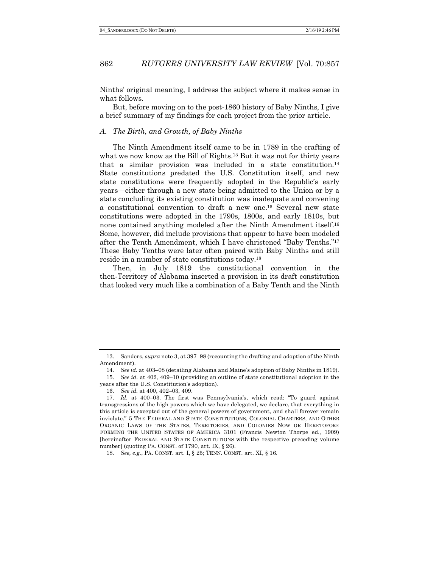Ninths' original meaning, I address the subject where it makes sense in what follows.

But, before moving on to the post-1860 history of Baby Ninths, I give a brief summary of my findings for each project from the prior article.

#### *A. The Birth, and Growth, of Baby Ninths*

The Ninth Amendment itself came to be in 1789 in the crafting of what we now know as the Bill of Rights.<sup>13</sup> But it was not for thirty years that a similar provision was included in a state constitution.14 State constitutions predated the U.S. Constitution itself, and new state constitutions were frequently adopted in the Republic's early years—either through a new state being admitted to the Union or by a state concluding its existing constitution was inadequate and convening a constitutional convention to draft a new one.15 Several new state constitutions were adopted in the 1790s, 1800s, and early 1810s, but none contained anything modeled after the Ninth Amendment itself.16 Some, however, did include provisions that appear to have been modeled after the Tenth Amendment, which I have christened "Baby Tenths."17 These Baby Tenths were later often paired with Baby Ninths and still reside in a number of state constitutions today.18

Then, in July 1819 the constitutional convention in the then-Territory of Alabama inserted a provision in its draft constitution that looked very much like a combination of a Baby Tenth and the Ninth

<sup>13.</sup> Sanders, *supra* note 3, at 397–98 (recounting the drafting and adoption of the Ninth Amendment).

<sup>14.</sup> *See id.* at 403–08 (detailing Alabama and Maine's adoption of Baby Ninths in 1819).

<sup>15.</sup> *See id.* at 402, 409–10 (providing an outline of state constitutional adoption in the years after the U.S. Constitution's adoption).

<sup>16.</sup> *See id.* at 400, 402–03, 409.

<sup>17.</sup> *Id.* at 400–03. The first was Pennsylvania's, which read: "To guard against transgressions of the high powers which we have delegated, we declare, that everything in this article is excepted out of the general powers of government, and shall forever remain inviolate." 5 THE FEDERAL AND STATE CONSTITUTIONS, COLONIAL CHARTERS, AND OTHER ORGANIC LAWS OF THE STATES, TERRITORIES, AND COLONIES NOW OR HERETOFORE FORMING THE UNITED STATES OF AMERICA 3101 (Francis Newton Thorpe ed., 1909) [hereinafter FEDERAL AND STATE CONSTITUTIONS with the respective preceding volume number] (quoting PA. CONST. of 1790, art. IX, § 26).

<sup>18.</sup> *See, e.g.*, PA. CONST. art. I, § 25; TENN. CONST. art. XI, § 16.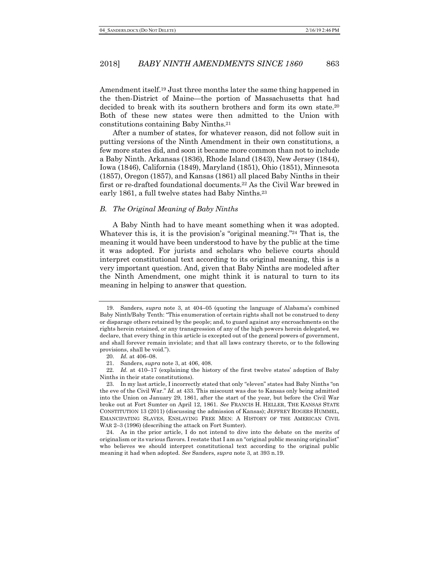Amendment itself.19 Just three months later the same thing happened in the then-District of Maine—the portion of Massachusetts that had decided to break with its southern brothers and form its own state.20 Both of these new states were then admitted to the Union with constitutions containing Baby Ninths.21

After a number of states, for whatever reason, did not follow suit in putting versions of the Ninth Amendment in their own constitutions, a few more states did, and soon it became more common than not to include a Baby Ninth. Arkansas (1836), Rhode Island (1843), New Jersey (1844), Iowa (1846), California (1849), Maryland (1851), Ohio (1851), Minnesota (1857), Oregon (1857), and Kansas (1861) all placed Baby Ninths in their first or re-drafted foundational documents.22 As the Civil War brewed in early 1861, a full twelve states had Baby Ninths.23

# *B. The Original Meaning of Baby Ninths*

A Baby Ninth had to have meant something when it was adopted. Whatever this is, it is the provision's "original meaning."<sup>24</sup> That is, the meaning it would have been understood to have by the public at the time it was adopted. For jurists and scholars who believe courts should interpret constitutional text according to its original meaning, this is a very important question. And, given that Baby Ninths are modeled after the Ninth Amendment, one might think it is natural to turn to its meaning in helping to answer that question.

<sup>19.</sup> Sanders, *supra* note 3, at 404–05 (quoting the language of Alabama's combined Baby Ninth/Baby Tenth: "This enumeration of certain rights shall not be construed to deny or disparage others retained by the people; and, to guard against any encroachments on the rights herein retained, or any transgression of any of the high powers herein delegated, we declare, that every thing in this article is excepted out of the general powers of government, and shall forever remain inviolate; and that all laws contrary thereto, or to the following provisions, shall be void.").

<sup>20.</sup> *Id.* at 406–08.

<sup>21.</sup> Sanders, *supra* note 3, at 406, 408.

<sup>22.</sup> *Id.* at 410–17 (explaining the history of the first twelve states' adoption of Baby Ninths in their state constitutions).

<sup>23.</sup> In my last article, I incorrectly stated that only "eleven" states had Baby Ninths "on the eve of the Civil War." *Id.* at 433. This miscount was due to Kansas only being admitted into the Union on January 29, 1861, after the start of the year, but before the Civil War broke out at Fort Sumter on April 12, 1861. *See* FRANCIS H. HELLER, THE KANSAS STATE CONSTITUTION 13 (2011) (discussing the admission of Kansas); JEFFREY ROGERS HUMMEL, EMANCIPATING SLAVES, ENSLAVING FREE MEN: A HISTORY OF THE AMERICAN CIVIL WAR 2–3 (1996) (describing the attack on Fort Sumter).

<sup>24.</sup> As in the prior article, I do not intend to dive into the debate on the merits of originalism or its various flavors. I restate that I am an "original public meaning originalist" who believes we should interpret constitutional text according to the original public meaning it had when adopted. *See* Sanders, *supra* note 3, at 393 n.19.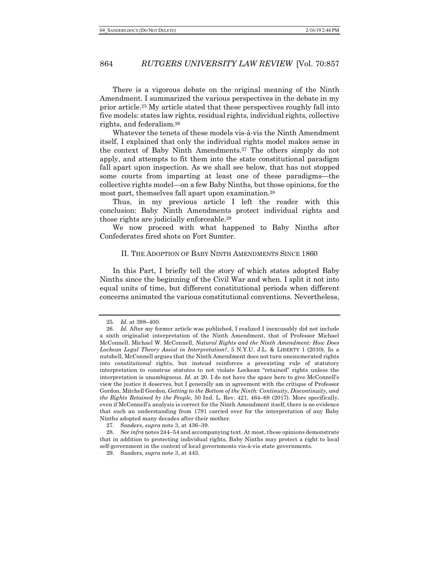There is a vigorous debate on the original meaning of the Ninth Amendment. I summarized the various perspectives in the debate in my prior article.25 My article stated that these perspectives roughly fall into five models: states law rights, residual rights, individual rights, collective rights, and federalism.26

Whatever the tenets of these models vis-à-vis the Ninth Amendment itself, I explained that only the individual rights model makes sense in the context of Baby Ninth Amendments.27 The others simply do not apply, and attempts to fit them into the state constitutional paradigm fall apart upon inspection. As we shall see below, that has not stopped some courts from imparting at least one of these paradigms—the collective rights model—on a few Baby Ninths, but those opinions, for the most part, themselves fall apart upon examination.28

Thus, in my previous article I left the reader with this conclusion: Baby Ninth Amendments protect individual rights and those rights are judicially enforceable.29

We now proceed with what happened to Baby Ninths after Confederates fired shots on Fort Sumter.

#### II. THE ADOPTION OF BABY NINTH AMENDMENTS SINCE 1860

In this Part, I briefly tell the story of which states adopted Baby Ninths since the beginning of the Civil War and when. I split it not into equal units of time, but different constitutional periods when different concerns animated the various constitutional conventions. Nevertheless,

<sup>25.</sup> *Id.* at 398–400.

<sup>26.</sup> *Id.* After my former article was published, I realized I inexcusably did not include a sixth originalist interpretation of the Ninth Amendment, that of Professor Michael McConnell. Michael W. McConnell, *Natural Rights and the Ninth Amendment: How Does Lockean Legal Theory Assist in Interpretation?*, 5 N.Y.U. J.L. & LIBERTY 1 (2010). In a nutshell, McConnell argues that the Ninth Amendment does not turn unenumerated rights into *constitutional* rights, but instead reinforces a preexisting rule of statutory interpretation to construe statutes to not violate Lockean "retained" rights unless the interpretation is unambiguous. *Id.* at 20. I do not have the space here to give McConnell's view the justice it deserves, but I generally am in agreement with the critique of Professor Gordon. Mitchell Gordon, *Getting to the Bottom of the Ninth: Continuity, Discontinuity, and the Rights Retained by the People*, 50 Ind. L. Rev. 421, 464–68 (2017). More specifically, even if McConnell's analysis is correct for the Ninth Amendment itself, there is no evidence that such an understanding from 1791 carried over for the interpretation of any Baby Ninths adopted many decades after their mother.

<sup>27.</sup> Sanders, *supra* note 3, at 436–39.

<sup>28.</sup> *See infra* notes 244–54 and accompanying text. At most, these opinions demonstrate that in addition to protecting individual rights, Baby Ninths may protect a right to local self-government in the context of local governments vis-à-vis state governments.

<sup>29.</sup> Sanders, *supra* note 3, at 443.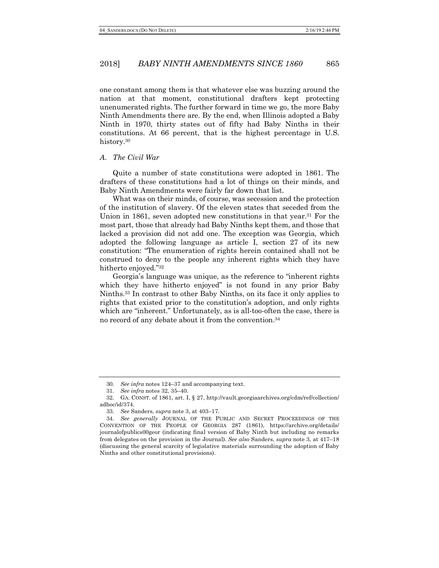one constant among them is that whatever else was buzzing around the nation at that moment, constitutional drafters kept protecting unenumerated rights. The further forward in time we go, the more Baby Ninth Amendments there are. By the end, when Illinois adopted a Baby Ninth in 1970, thirty states out of fifty had Baby Ninths in their constitutions. At 66 percent, that is the highest percentage in U.S. history.<sup>30</sup>

# *A. The Civil War*

Quite a number of state constitutions were adopted in 1861. The drafters of these constitutions had a lot of things on their minds, and Baby Ninth Amendments were fairly far down that list.

What was on their minds, of course, was secession and the protection of the institution of slavery. Of the eleven states that seceded from the Union in 1861, seven adopted new constitutions in that year.31 For the most part, those that already had Baby Ninths kept them, and those that lacked a provision did not add one. The exception was Georgia, which adopted the following language as article I, section 27 of its new constitution: "The enumeration of rights herein contained shall not be construed to deny to the people any inherent rights which they have hitherto enjoyed."32

Georgia's language was unique, as the reference to "inherent rights which they have hitherto enjoyed" is not found in any prior Baby Ninths.33 In contrast to other Baby Ninths, on its face it only applies to rights that existed prior to the constitution's adoption, and only rights which are "inherent." Unfortunately, as is all-too-often the case, there is no record of any debate about it from the convention.34

<sup>30.</sup> *See infra* notes 124–37 and accompanying text.

<sup>31.</sup> *See infra* notes 32, 35–40.

<sup>32.</sup> GA. CONST. of 1861, art. I, § 27, http://vault.georgiaarchives.org/cdm/ref/collection/ adhoc/id/374.

<sup>33.</sup> *See* Sanders, *supra* note 3, at 403–17.

<sup>34.</sup> *See generally* JOURNAL OF THE PUBLIC AND SECRET PROCEEDINGS OF THE CONVENTION OF THE PEOPLE OF GEORGIA 287 (1861), https://archive.org/details/ journalofpublics00geor (indicating final version of Baby Ninth but including no remarks from delegates on the provision in the Journal). *See also* Sanders, *supra* note 3, at 417–18 (discussing the general scarcity of legislative materials surrounding the adoption of Baby Ninths and other constitutional provisions).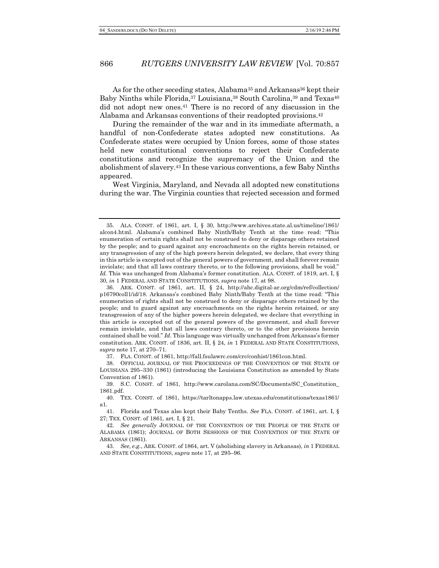As for the other seceding states, Alabama<sup>35</sup> and Arkansas<sup>36</sup> kept their Baby Ninths while Florida,<sup>37</sup> Louisiana,<sup>38</sup> South Carolina,<sup>39</sup> and Texas<sup>40</sup> did not adopt new ones.41 There is no record of any discussion in the Alabama and Arkansas conventions of their readopted provisions.42

During the remainder of the war and in its immediate aftermath, a handful of non-Confederate states adopted new constitutions. As Confederate states were occupied by Union forces, some of those states held new constitutional conventions to reject their Confederate constitutions and recognize the supremacy of the Union and the abolishment of slavery.43 In these various conventions, a few Baby Ninths appeared.

West Virginia, Maryland, and Nevada all adopted new constitutions during the war. The Virginia counties that rejected secession and formed

<sup>35.</sup> ALA. CONST. of 1861, art. I, § 30, http://www.archives.state.al.us/timeline/1861/ alcon4.html. Alabama's combined Baby Ninth/Baby Tenth at the time read: "This enumeration of certain rights shall not be construed to deny or disparage others retained by the people; and to guard against any encroachments on the rights herein retained, or any transgression of any of the high powers herein delegated, we declare, that every thing in this article is excepted out of the general powers of government, and shall forever remain inviolate; and that all laws contrary thereto, or to the following provisions, shall be void." *Id.* This was unchanged from Alabama's former constitution. ALA. CONST. of 1819, art. I, § 30, *in* 1 FEDERAL AND STATE CONSTITUTIONS, *supra* note 17, at 98.

<sup>36.</sup> ARK. CONST. of 1861, art. II, § 24, http://ahc.digital-ar.org/cdm/ref/collection/ p16790coll1/id/18. Arkansas's combined Baby Ninth/Baby Tenth at the time read: "This enumeration of rights shall not be construed to deny or disparage others retained by the people; and to guard against any encroachments on the rights herein retained, or any transgression of any of the higher powers herein delegated, we declare that everything in this article is excepted out of the general powers of the government, and shall forever remain inviolate, and that all laws contrary thereto, or to the other provisions herein contained shall be void." *Id.* This language was virtually unchanged from Arkansas's former constitution. ARK. CONST. of 1836, art. II, § 24, *in* 1 FEDERAL AND STATE CONSTITUTIONS, *supra* note 17, at 270–71.

<sup>37.</sup> FLA. CONST. of 1861, http://fall.fsulawrc.com/crc/conhist/1861con.html.

<sup>38.</sup> OFFICIAL JOURNAL OF THE PROCEEDINGS OF THE CONVENTION OF THE STATE OF LOUISIANA 295–330 (1861) (introducing the Louisiana Constitution as amended by State Convention of 1861).

<sup>39.</sup> S.C. CONST. of 1861, http://www.carolana.com/SC/Documents/SC\_Constitution\_ 1861.pdf.

<sup>40.</sup> TEX. CONST. of 1861, https://tarltonapps.law.utexas.edu/constitutions/texas1861/ a1.

<sup>41.</sup> Florida and Texas also kept their Baby Tenths. *See* FLA. CONST. of 1861, art. I, § 27; TEX. CONST. of 1861, art. I, § 21.

<sup>42.</sup> *See generally* JOURNAL OF THE CONVENTION OF THE PEOPLE OF THE STATE OF ALABAMA (1861); JOURNAL OF BOTH SESSIONS OF THE CONVENTION OF THE STATE OF ARKANSAS (1861).

<sup>43.</sup> *See, e.g.*, ARK. CONST. of 1864, art. V (abolishing slavery in Arkansas), *in* 1 FEDERAL AND STATE CONSTITUTIONS, *supra* note 17, at 295–96.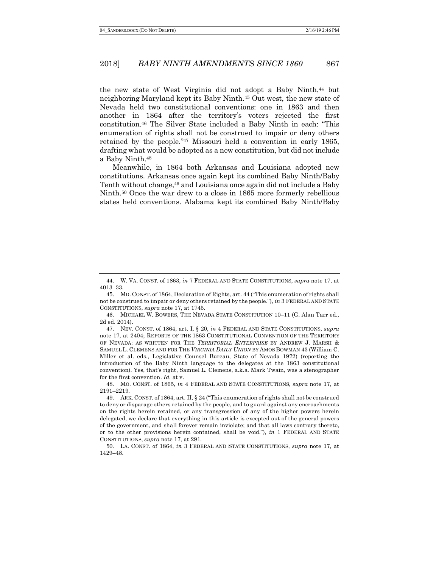the new state of West Virginia did not adopt a Baby Ninth,<sup>44</sup> but neighboring Maryland kept its Baby Ninth.45 Out west, the new state of Nevada held two constitutional conventions: one in 1863 and then another in 1864 after the territory's voters rejected the first constitution.46 The Silver State included a Baby Ninth in each: "This enumeration of rights shall not be construed to impair or deny others retained by the people."47 Missouri held a convention in early 1865, drafting what would be adopted as a new constitution, but did not include a Baby Ninth.48

Meanwhile, in 1864 both Arkansas and Louisiana adopted new constitutions. Arkansas once again kept its combined Baby Ninth/Baby Tenth without change, <sup>49</sup> and Louisiana once again did not include a Baby Ninth.<sup>50</sup> Once the war drew to a close in 1865 more formerly rebellious states held conventions. Alabama kept its combined Baby Ninth/Baby

<sup>44.</sup> W. VA. CONST. of 1863, *in* 7 FEDERAL AND STATE CONSTITUTIONS, *supra* note 17, at 4013–33.

<sup>45.</sup> MD. CONST. of 1864, Declaration of Rights, art. 44 ("This enumeration of rights shall not be construed to impair or deny others retained by the people."), *in* 3 FEDERAL AND STATE CONSTITUTIONS, *supra* note 17, at 1745.

<sup>46.</sup> MICHAEL W. BOWERS, THE NEVADA STATE CONSTITUTION 10–11 (G. Alan Tarr ed., 2d ed. 2014).

<sup>47.</sup> NEV. CONST. of 1864, art. I, § 20, *in* 4 FEDERAL AND STATE CONSTITUTIONS, *supra*  note 17, at 2404; REPORTS OF THE 1863 CONSTITUTIONAL CONVENTION OF THE TERRITORY OF NEVADA: AS WRITTEN FOR THE *TERRITORIAL ENTERPRISE* BY ANDREW J. MARSH & SAMUEL L. CLEMENS AND FOR THE *VIRGINIA DAILY UNION* BY AMOS BOWMAN 43 (William C. Miller et al. eds., Legislative Counsel Bureau, State of Nevada 1972) (reporting the introduction of the Baby Ninth language to the delegates at the 1863 constitutional convention). Yes, that's right, Samuel L. Clemens, a.k.a. Mark Twain, was a stenographer for the first convention. *Id.* at v.

<sup>48.</sup> MO. CONST. of 1865, *in* 4 FEDERAL AND STATE CONSTITUTIONS, *supra* note 17, at 2191–2219.

<sup>49.</sup> ARK. CONST. of 1864, art. II, § 24 ("This enumeration of rights shall not be construed to deny or disparage others retained by the people, and to guard against any encroachments on the rights herein retained, or any transgression of any of the higher powers herein delegated, we declare that everything in this article is excepted out of the general powers of the government, and shall forever remain inviolate; and that all laws contrary thereto, or to the other provisions herein contained, shall be void."), *in* 1 FEDERAL AND STATE CONSTITUTIONS, *supra* note 17, at 291.

<sup>50.</sup> LA. CONST. of 1864, *in* 3 FEDERAL AND STATE CONSTITUTIONS, *supra* note 17, at 1429–48.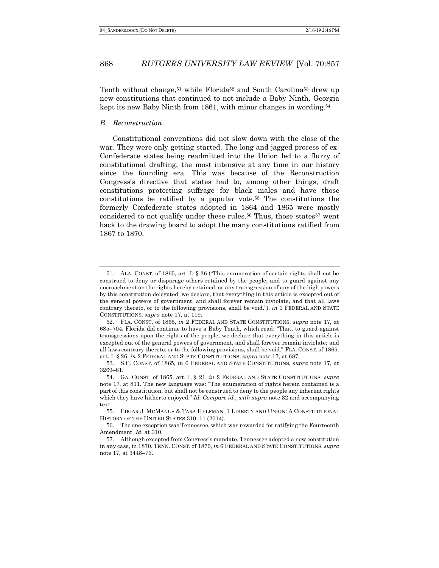Tenth without change,<sup>51</sup> while Florida<sup>52</sup> and South Carolina<sup>53</sup> drew up new constitutions that continued to not include a Baby Ninth. Georgia kept its new Baby Ninth from 1861, with minor changes in wording.54

### *B. Reconstruction*

Constitutional conventions did not slow down with the close of the war. They were only getting started. The long and jagged process of ex-Confederate states being readmitted into the Union led to a flurry of constitutional drafting, the most intensive at any time in our history since the founding era. This was because of the Reconstruction Congress's directive that states had to, among other things, draft constitutions protecting suffrage for black males and have those constitutions be ratified by a popular vote.55 The constitutions the formerly Confederate states adopted in 1864 and 1865 were mostly considered to not qualify under these rules.<sup>56</sup> Thus, those states<sup>57</sup> went back to the drawing board to adopt the many constitutions ratified from 1867 to 1870.

<sup>51.</sup> ALA. CONST. of 1865, art. I, § 36 ("This enumeration of certain rights shall not be construed to deny or disparage others retained by the people; and to guard against any encroachment on the rights hereby retained, or any transgression of any of the high powers by this constitution delegated, we declare, that everything in this article is excepted out of the general powers of government, and shall forever remain inviolate, and that all laws contrary thereto, or to the following provisions, shall be void."), *in* 1 FEDERAL AND STATE CONSTITUTIONS, *supra* note 17, at 119.

<sup>52.</sup> FLA. CONST. of 1865, *in* 2 FEDERAL AND STATE CONSTITUTIONS, *supra* note 17, at 685–704. Florida did continue to have a Baby Tenth, which read: "That, to guard against transgressions upon the rights of the people, we declare that everything in this article is excepted out of the general powers of government, and shall forever remain inviolate; and all laws contrary thereto, or to the following provisions, shall be void." FLA. CONST. of 1865, art. I, § 26, *in* 2 FEDERAL AND STATE CONSTITUTIONS, *supra* note 17, at 687.

<sup>53.</sup> S.C. CONST. of 1865, *in* 6 FEDERAL AND STATE CONSTITUTIONS, *supra* note 17, at 3269–81.

<sup>54.</sup> GA. CONST. of 1865, art. I, § 21, *in* 2 FEDERAL AND STATE CONSTITUTIONS, *supra*  note 17, at 811. The new language was: "The enumeration of rights herein contained is a part of this constitution, but shall not be construed to deny to the people any inherent rights which they have hitherto enjoyed." *Id. Compare id.*, *with supra* note 32 and accompanying text.

<sup>55.</sup> EDGAR J. MCMANUS & TARA HELFMAN, 1 LIBERTY AND UNION: A CONSTITUTIONAL HISTORY OF THE UNITED STATES 310–11 (2014).

<sup>56.</sup> The one exception was Tennessee, which was rewarded for ratifying the Fourteenth Amendment. *Id.* at 310.

<sup>57.</sup> Although excepted from Congress's mandate, Tennessee adopted a new constitution in any case, in 1870. TENN. CONST. of 1870, *in* 6 FEDERAL AND STATE CONSTITUTIONS, *supra*  note 17, at 3448–73.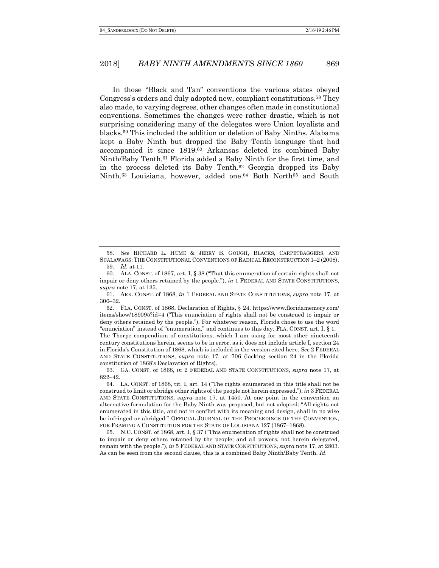In those "Black and Tan" conventions the various states obeyed Congress's orders and duly adopted new, compliant constitutions.58 They also made, to varying degrees, other changes often made in constitutional conventions. Sometimes the changes were rather drastic, which is not surprising considering many of the delegates were Union loyalists and blacks.59 This included the addition or deletion of Baby Ninths. Alabama kept a Baby Ninth but dropped the Baby Tenth language that had accompanied it since 1819.60 Arkansas deleted its combined Baby Ninth/Baby Tenth.61 Florida added a Baby Ninth for the first time, and in the process deleted its Baby Tenth.62 Georgia dropped its Baby Ninth.<sup>63</sup> Louisiana, however, added one.<sup>64</sup> Both North<sup>65</sup> and South

<sup>58.</sup> *See* RICHARD L. HUME & JERRY B. GOUGH, BLACKS, CARPETBAGGERS, AND SCALAWAGS: THE CONSTITUTIONAL CONVENTIONS OF RADICAL RECONSTRUCTION 1–2 (2008). 59. *Id.* at 11.

<sup>60.</sup> ALA. CONST. of 1867, art. I, § 38 ("That this enumeration of certain rights shall not impair or deny others retained by the people."), *in* 1 FEDERAL AND STATE CONSTITUTIONS, *supra* note 17, at 135.

<sup>61.</sup> ARK. CONST. of 1868, *in* 1 FEDERAL AND STATE CONSTITUTIONS, *supra* note 17, at 306–32.

<sup>62.</sup> FLA. CONST. of 1868, Declaration of Rights, § 24, https://www.floridamemory.com/ items/show/189095?id=4 ("This enunciation of rights shall not be construed to impair or deny others retained by the people."). For whatever reason, Florida chose to use the word "enunciation" instead of "enumeration," and continues to this day. FLA. CONST. art. I, § 1. The Thorpe compendium of constitutions, which I am using for most other nineteenth century constitutions herein, seems to be in error, as it does not include article I, section 24 in Florida's Constitution of 1868, which is included in the version cited here. *See* 2 FEDERAL AND STATE CONSTITUTIONS, *supra* note 17, at 706 (lacking section 24 in the Florida constitution of 1868's Declaration of Rights).

<sup>63.</sup> GA. CONST. of 1868, *in* 2 FEDERAL AND STATE CONSTITUTIONS, *supra* note 17, at 822–42.

<sup>64.</sup> LA. CONST. of 1868, tit. I, art. 14 ("The rights enumerated in this title shall not be construed to limit or abridge other rights of the people not herein expressed."), *in* 3 FEDERAL AND STATE CONSTITUTIONS, *supra* note 17, at 1450. At one point in the convention an alternative formulation for the Baby Ninth was proposed, but not adopted: "All rights not enumerated in this title, and not in conflict with its meaning and design, shall in no wise be infringed or abridged." OFFICIAL JOURNAL OF THE PROCEEDINGS OF THE CONVENTION, FOR FRAMING A CONSTITUTION FOR THE STATE OF LOUISIANA 127 (1867–1868).

<sup>65.</sup> N.C. CONST. of 1868, art. I, § 37 ("This enumeration of rights shall not be construed to impair or deny others retained by the people; and all powers, not herein delegated, remain with the people."), *in* 5 FEDERAL AND STATE CONSTITUTIONS, *supra* note 17, at 2803. As can be seen from the second clause, this is a combined Baby Ninth/Baby Tenth. *Id.*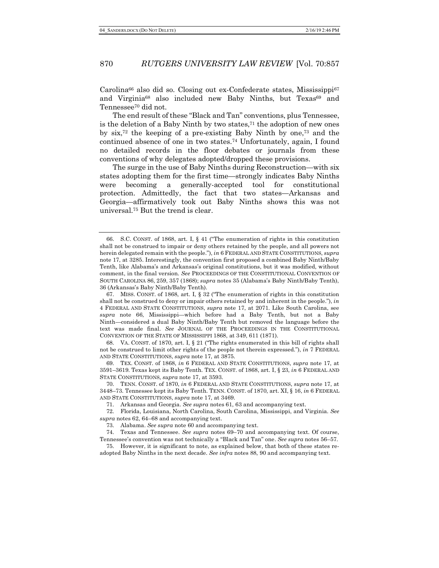Carolina<sup>66</sup> also did so. Closing out ex-Confederate states, Mississippi<sup>67</sup> and Virginia<sup>68</sup> also included new Baby Ninths, but Texas<sup>69</sup> and Tennessee70 did not.

The end result of these "Black and Tan" conventions, plus Tennessee, is the deletion of a Baby Ninth by two states,71 the adoption of new ones by six,72 the keeping of a pre-existing Baby Ninth by one,73 and the continued absence of one in two states.74 Unfortunately, again, I found no detailed records in the floor debates or journals from these conventions of why delegates adopted/dropped these provisions.

The surge in the use of Baby Ninths during Reconstruction—with six states adopting them for the first time—strongly indicates Baby Ninths were becoming a generally-accepted tool for constitutional protection. Admittedly, the fact that two states—Arkansas and Georgia—affirmatively took out Baby Ninths shows this was not universal.75 But the trend is clear.

68. VA. CONST. of 1870, art. I, § 21 ("The rights enumerated in this bill of rights shall not be construed to limit other rights of the people not therein expressed."), *in* 7 FEDERAL AND STATE CONSTITUTIONS, *supra* note 17, at 3875.

69. TEX. CONST. of 1868, *in* 6 FEDERAL AND STATE CONSTITUTIONS, *supra* note 17, at 3591–3619. Texas kept its Baby Tenth. TEX. CONST. of 1868, art. I, § 23, *in* 6 FEDERAL AND STATE CONSTITUTIONS, *supra* note 17, at 3593.

70. TENN. CONST. of 1870, *in* 6 FEDERAL AND STATE CONSTITUTIONS, *supra* note 17, at 3448–73. Tennessee kept its Baby Tenth. TENN. CONST. of 1870, art. XI, § 16, *in* 6 FEDERAL AND STATE CONSTITUTIONS, *supra* note 17, at 3469.

<sup>66.</sup> S.C. CONST. of 1868, art. I, § 41 ("The enumeration of rights in this constitution shall not be construed to impair or deny others retained by the people, and all powers not herein delegated remain with the people."), *in* 6 FEDERAL AND STATE CONSTITUTIONS, *supra* note 17, at 3285. Interestingly, the convention first proposed a combined Baby Ninth/Baby Tenth, like Alabama's and Arkansas's original constitutions, but it was modified, without comment, in the final version. *See* PROCEEDINGS OF THE CONSTITUTIONAL CONVENTION OF SOUTH CAROLINA 86, 259, 357 (1868); *supra* notes 35 (Alabama's Baby Ninth/Baby Tenth), 36 (Arkansas's Baby Ninth/Baby Tenth).

<sup>67.</sup> MISS. CONST. of 1868, art. I, § 32 ("The enumeration of rights in this constitution shall not be construed to deny or impair others retained by and inherent in the people."), *in* 4 FEDERAL AND STATE CONSTITUTIONS, *supra* note 17, at 2071. Like South Carolina, see *supra* note 66, Mississippi—which before had a Baby Tenth, but not a Baby Ninth—considered a dual Baby Ninth/Baby Tenth but removed the language before the text was made final. *See* JOURNAL OF THE PROCEEDINGS IN THE CONSTITUTIONAL CONVENTION OF THE STATE OF MISSISSIPPI 1868, at 349, 611 (1871).

<sup>71.</sup> Arkansas and Georgia. *See supra* notes 61, 63 and accompanying text.

<sup>72.</sup> Florida, Louisiana, North Carolina, South Carolina, Mississippi, and Virginia. *See supra* notes 62, 64–68 and accompanying text.

<sup>73.</sup> Alabama. *See supra* note 60 and accompanying text.

<sup>74.</sup> Texas and Tennessee. *See supra* notes 69–70 and accompanying text. Of course, Tennessee's convention was not technically a "Black and Tan" one. *See supra* notes 56–57.

<sup>75.</sup> However, it is significant to note, as explained below, that both of these states readopted Baby Ninths in the next decade. *See infra* notes 88, 90 and accompanying text.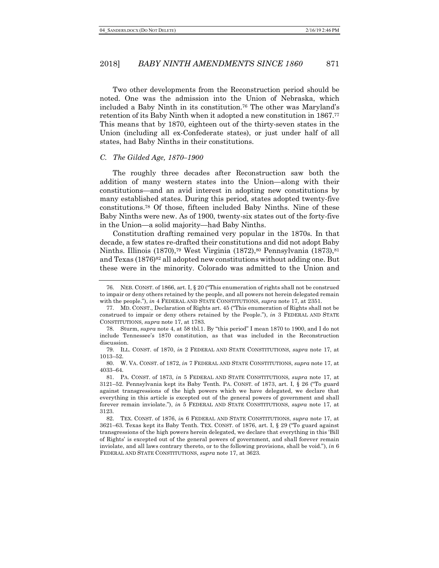Two other developments from the Reconstruction period should be noted. One was the admission into the Union of Nebraska, which included a Baby Ninth in its constitution.76 The other was Maryland's retention of its Baby Ninth when it adopted a new constitution in 1867.77 This means that by 1870, eighteen out of the thirty-seven states in the Union (including all ex-Confederate states), or just under half of all states, had Baby Ninths in their constitutions.

### *C. The Gilded Age, 1870–1900*

The roughly three decades after Reconstruction saw both the addition of many western states into the Union—along with their constitutions—and an avid interest in adopting new constitutions by many established states. During this period, states adopted twenty-five constitutions.78 Of those, fifteen included Baby Ninths. Nine of these Baby Ninths were new. As of 1900, twenty-six states out of the forty-five in the Union—a solid majority—had Baby Ninths.

Constitution drafting remained very popular in the 1870s. In that decade, a few states re-drafted their constitutions and did not adopt Baby Ninths. Illinois (1870),<sup>79</sup> West Virginia (1872),<sup>80</sup> Pennsylvania (1873),<sup>81</sup> and Texas (1876)<sup>82</sup> all adopted new constitutions without adding one. But these were in the minority. Colorado was admitted to the Union and

80. W. VA. CONST. of 1872, *in* 7 FEDERAL AND STATE CONSTITUTIONS, *supra* note 17, at 4033–64.

<sup>76.</sup> NEB. CONST. of 1866, art. I, § 20 ("This enumeration of rights shall not be construed to impair or deny others retained by the people, and all powers not herein delegated remain with the people."), *in* 4 FEDERAL AND STATE CONSTITUTIONS, *supra* note 17, at 2351.

<sup>77.</sup> MD. CONST., Declaration of Rights art. 45 ("This enumeration of Rights shall not be construed to impair or deny others retained by the People."), *in* 3 FEDERAL AND STATE CONSTITUTIONS, *supra* note 17, at 1783.

<sup>78.</sup> Sturm, *supra* note 4, at 58 tbl.1. By "this period" I mean 1870 to 1900, and I do not include Tennessee's 1870 constitution, as that was included in the Reconstruction discussion.

<sup>79.</sup> ILL. CONST. of 1870, *in* 2 FEDERAL AND STATE CONSTITUTIONS, *supra* note 17, at 1013–52.

<sup>81.</sup> PA. CONST. of 1873, *in* 5 FEDERAL AND STATE CONSTITUTIONS, *supra* note 17, at 3121–52. Pennsylvania kept its Baby Tenth. PA. CONST. of 1873, art. I, § 26 ("To guard against transgressions of the high powers which we have delegated, we declare that everything in this article is excepted out of the general powers of government and shall forever remain inviolate."), *in* 5 FEDERAL AND STATE CONSTITUTIONS, *supra* note 17, at 3123.

<sup>82.</sup> TEX. CONST. of 1876, *in* 6 FEDERAL AND STATE CONSTITUTIONS, *supra* note 17, at 3621–63. Texas kept its Baby Tenth. TEX. CONST. of 1876, art. I, § 29 ("To guard against transgressions of the high powers herein delegated, we declare that everything in this 'Bill of Rights' is excepted out of the general powers of government, and shall forever remain inviolate, and all laws contrary thereto, or to the following provisions, shall be void."), *in* 6 FEDERAL AND STATE CONSTITUTIONS, *supra* note 17, at 3623.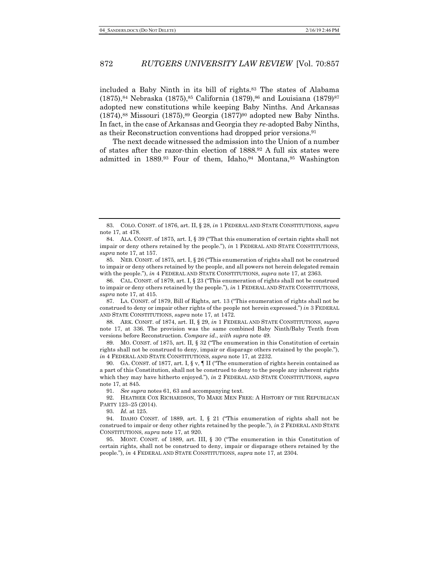included a Baby Ninth in its bill of rights.83 The states of Alabama (1875),<sup>84</sup> Nebraska (1875),<sup>85</sup> California (1879),<sup>86</sup> and Louisiana (1879)<sup>87</sup> adopted new constitutions while keeping Baby Ninths. And Arkansas (1874),88 Missouri (1875),89 Georgia (1877)90 adopted new Baby Ninths. In fact, in the case of Arkansas and Georgia they *re-*adopted Baby Ninths, as their Reconstruction conventions had dropped prior versions.91

The next decade witnessed the admission into the Union of a number of states after the razor-thin election of 1888.92 A full six states were admitted in 1889.93 Four of them, Idaho,94 Montana,95 Washington

87. LA. CONST. of 1879, Bill of Rights, art. 13 ("This enumeration of rights shall not be construed to deny or impair other rights of the people not herein expressed.") *in* 3 FEDERAL AND STATE CONSTITUTIONS, *supra* note 17, at 1472.

88. ARK. CONST. of 1874, art. II, § 29, *in* 1 FEDERAL AND STATE CONSTITUTIONS, *supra*  note 17, at 336. The provision was the same combined Baby Ninth/Baby Tenth from versions before Reconstruction. *Compare id.*, *with supra* note 49.

89. MO. CONST. of 1875, art. II, § 32 ("The enumeration in this Constitution of certain rights shall not be construed to deny, impair or disparage others retained by the people."), *in* 4 FEDERAL AND STATE CONSTITUTIONS, *supra* note 17, at 2232.

90. GA. CONST. of 1877, art. I, § v, ¶ II ("The enumeration of rights herein contained as a part of this Constitution, shall not be construed to deny to the people any inherent rights which they may have hitherto enjoyed."), *in* 2 FEDERAL AND STATE CONSTITUTIONS, *supra*  note 17, at 845.

91. *See supra* notes 61, 63 and accompanying text.

92. HEATHER COX RICHARDSON, TO MAKE MEN FREE: A HISTORY OF THE REPUBLICAN PARTY 123–25 (2014).

93. *Id.* at 125.

94. IDAHO CONST. of 1889, art. I, § 21 ("This enumeration of rights shall not be construed to impair or deny other rights retained by the people."), *in* 2 FEDERAL AND STATE CONSTITUTIONS, *supra* note 17, at 920.

95. MONT. CONST. of 1889, art. III, § 30 ("The enumeration in this Constitution of certain rights, shall not be construed to deny, impair or disparage others retained by the people."), *in* 4 FEDERAL AND STATE CONSTITUTIONS, *supra* note 17, at 2304.

<sup>83.</sup> COLO. CONST. of 1876, art. II, § 28, *in* 1 FEDERAL AND STATE CONSTITUTIONS, *supra*  note 17, at 478.

<sup>84.</sup> ALA. CONST. of 1875, art. I, § 39 ("That this enumeration of certain rights shall not impair or deny others retained by the people."), *in* 1 FEDERAL AND STATE CONSTITUTIONS, *supra* note 17, at 157.

<sup>85.</sup> NEB. CONST. of 1875, art. I, § 26 ("This enumeration of rights shall not be construed to impair or deny others retained by the people, and all powers not herein delegated remain with the people."), *in* 4 FEDERAL AND STATE CONSTITUTIONS, *supra* note 17, at 2363.

<sup>86.</sup> CAL. CONST. of 1879, art. I, § 23 ("This enumeration of rights shall not be construed to impair or deny others retained by the people."), *in* 1 FEDERAL AND STATE CONSTITUTIONS, *supra* note 17, at 415.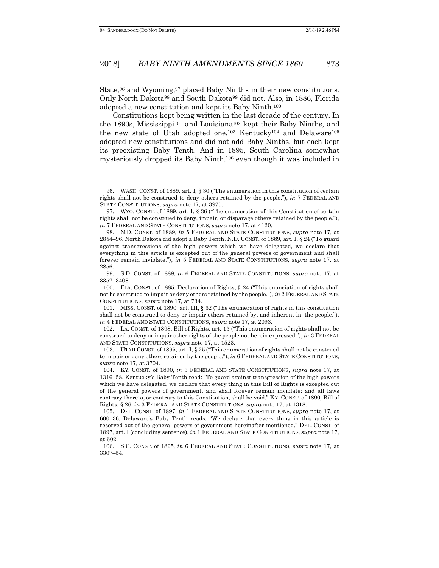State,96 and Wyoming,97 placed Baby Ninths in their new constitutions. Only North Dakota98 and South Dakota99 did not. Also, in 1886, Florida adopted a new constitution and kept its Baby Ninth.100

Constitutions kept being written in the last decade of the century. In the 1890s, Mississippi101 and Louisiana102 kept their Baby Ninths, and the new state of Utah adopted one.103 Kentucky104 and Delaware105 adopted new constitutions and did not add Baby Ninths, but each kept its preexisting Baby Tenth. And in 1895, South Carolina somewhat mysteriously dropped its Baby Ninth,106 even though it was included in

102. LA. CONST. of 1898, Bill of Rights, art. 15 ("This enumeration of rights shall not be construed to deny or impair other rights of the people not herein expressed."), *in* 3 FEDERAL AND STATE CONSTITUTIONS, *supra* note 17, at 1523.

103. UTAH CONST. of 1895, art. I, § 25 ("This enumeration of rights shall not be construed to impair or deny others retained by the people."), *in* 6 FEDERAL AND STATE CONSTITUTIONS, *supra* note 17, at 3704.

104. KY. CONST. of 1890, *in* 3 FEDERAL AND STATE CONSTITUTIONS, *supra* note 17, at 1316–58. Kentucky's Baby Tenth read: "To guard against transgression of the high powers which we have delegated, we declare that every thing in this Bill of Rights is excepted out of the general powers of government, and shall forever remain inviolate; and all laws contrary thereto, or contrary to this Constitution, shall be void." KY. CONST. of 1890, Bill of Rights, § 26, *in* 3 FEDERAL AND STATE CONSTITUTIONS, *supra* note 17, at 1318.

106. S.C. CONST. of 1895, *in* 6 FEDERAL AND STATE CONSTITUTIONS, *supra* note 17, at 3307–54.

<sup>96.</sup> WASH. CONST. of 1889, art. I, § 30 ("The enumeration in this constitution of certain rights shall not be construed to deny others retained by the people."), *in* 7 FEDERAL AND STATE CONSTITUTIONS, *supra* note 17, at 3975.

<sup>97.</sup> WYO. CONST. of 1889, art. I, § 36 ("The enumeration of this Constitution of certain rights shall not be construed to deny, impair, or disparage others retained by the people."), *in* 7 FEDERAL AND STATE CONSTITUTIONS, *supra* note 17, at 4120.

<sup>98.</sup> N.D. CONST. of 1889, *in* 5 FEDERAL AND STATE CONSTITUTIONS, *supra* note 17, at 2854–96. North Dakota did adopt a Baby Tenth. N.D. CONST. of 1889, art. I, § 24 ("To guard against transgressions of the high powers which we have delegated, we declare that everything in this article is excepted out of the general powers of government and shall forever remain inviolate."), *in* 5 FEDERAL AND STATE CONSTITUTIONS, *supra* note 17, at 2856.

<sup>99.</sup> S.D. CONST. of 1889, *in* 6 FEDERAL AND STATE CONSTITUTIONS, *supra* note 17, at 3357–3408.

<sup>100.</sup> FLA. CONST. of 1885, Declaration of Rights, § 24 ("This enunciation of rights shall not be construed to impair or deny others retained by the people."), *in* 2 FEDERAL AND STATE CONSTITUTIONS, *supra* note 17, at 734.

<sup>101.</sup> MISS. CONST. of 1890, art. III, § 32 ("The enumeration of rights in this constitution shall not be construed to deny or impair others retained by, and inherent in, the people."), *in* 4 FEDERAL AND STATE CONSTITUTIONS, *supra* note 17, at 2093.

<sup>105.</sup> DEL. CONST. of 1897, *in* 1 FEDERAL AND STATE CONSTITUTIONS, *supra* note 17, at 600–36. Delaware's Baby Tenth reads: "We declare that every thing in this article is reserved out of the general powers of government hereinafter mentioned." DEL. CONST. of 1897, art. I (concluding sentence), *in* 1 FEDERAL AND STATE CONSTITUTIONS, *supra* note 17, at 602.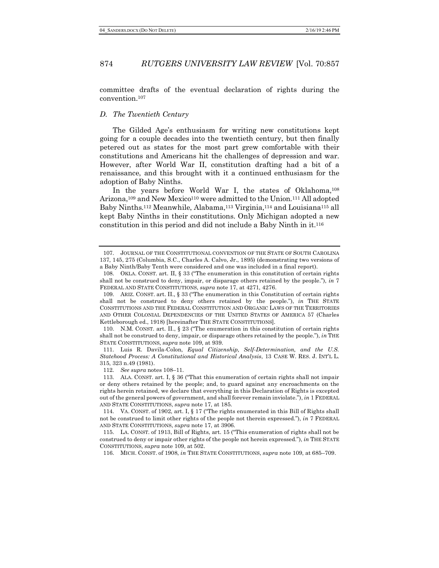committee drafts of the eventual declaration of rights during the convention.107

# *D. The Twentieth Century*

The Gilded Age's enthusiasm for writing new constitutions kept going for a couple decades into the twentieth century, but then finally petered out as states for the most part grew comfortable with their constitutions and Americans hit the challenges of depression and war. However, after World War II, constitution drafting had a bit of a renaissance, and this brought with it a continued enthusiasm for the adoption of Baby Ninths.

In the years before World War I, the states of Oklahoma,108 Arizona,109 and New Mexico110 were admitted to the Union.111 All adopted Baby Ninths.112 Meanwhile, Alabama,113 Virginia,114 and Louisiana115 all kept Baby Ninths in their constitutions. Only Michigan adopted a new constitution in this period and did not include a Baby Ninth in it.116

110. N.M. CONST. art. II., § 23 ("The enumeration in this constitution of certain rights shall not be construed to deny, impair, or disparage others retained by the people."), *in* THE STATE CONSTITUTIONS, *supra* note 109, at 939.

111. Luis R. Davila-Colon, *Equal Citizenship, Self-Determination, and the U.S. Statehood Process: A Constitutional and Historical Analysis*, 13 CASE W. RES. J. INT'L L. 315, 323 n.49 (1981).

112. *See supra* notes 108–11.

116. MICH. CONST. of 1908, *in* THE STATE CONSTITUTIONS, *supra* note 109, at 685–709.

<sup>107.</sup> JOURNAL OF THE CONSTITUTIONAL CONVENTION OF THE STATE OF SOUTH CAROLINA 137, 145, 275 (Columbia, S.C., Charles A. Calvo, Jr., 1895) (demonstrating two versions of a Baby Ninth/Baby Tenth were considered and one was included in a final report).

<sup>108.</sup> OKLA. CONST. art. II, § 33 ("The enumeration in this constitution of certain rights shall not be construed to deny, impair, or disparage others retained by the people."), *in* 7 FEDERAL AND STATE CONSTITUTIONS, *supra* note 17, at 4271, 4276.

<sup>109.</sup> ARIZ. CONST. art. II., § 33 ("The enumeration in this Constitution of certain rights shall not be construed to deny others retained by the people."), *in* THE STATE CONSTITUTIONS AND THE FEDERAL CONSTITUTION AND ORGANIC LAWS OF THE TERRITORIES AND OTHER COLONIAL DEPENDENCIES OF THE UNITED STATES OF AMERICA 57 (Charles Kettleborough ed., 1918) [hereinafter THE STATE CONSTITUTIONS].

<sup>113.</sup> ALA. CONST. art. I, § 36 ("That this enumeration of certain rights shall not impair or deny others retained by the people; and, to guard against any encroachments on the rights herein retained, we declare that everything in this Declaration of Rights is excepted out of the general powers of government, and shall forever remain inviolate."), *in* 1 FEDERAL AND STATE CONSTITUTIONS, *supra* note 17, at 185.

<sup>114.</sup> VA. CONST. of 1902, art. I, § 17 ("The rights enumerated in this Bill of Rights shall not be construed to limit other rights of the people not therein expressed."), *in* 7 FEDERAL AND STATE CONSTITUTIONS, *supra* note 17, at 3906.

<sup>115.</sup> LA. CONST. of 1913, Bill of Rights, art. 15 ("This enumeration of rights shall not be construed to deny or impair other rights of the people not herein expressed."), *in* THE STATE CONSTITUTIONS, *supra* note 109, at 502.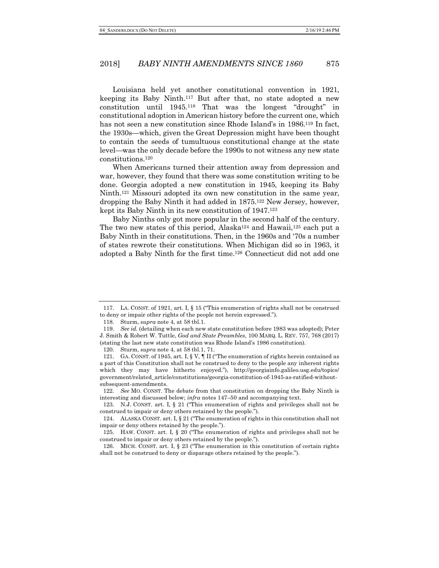Louisiana held yet another constitutional convention in 1921, keeping its Baby Ninth.117 But after that, no state adopted a new constitution until 1945.118 That was the longest "drought" in constitutional adoption in American history before the current one, which has not seen a new constitution since Rhode Island's in 1986.119 In fact, the 1930s—which, given the Great Depression might have been thought to contain the seeds of tumultuous constitutional change at the state level—was the only decade before the 1990s to not witness any new state constitutions.120

When Americans turned their attention away from depression and war, however, they found that there was some constitution writing to be done. Georgia adopted a new constitution in 1945, keeping its Baby Ninth.121 Missouri adopted its own new constitution in the same year, dropping the Baby Ninth it had added in 1875.122 New Jersey, however, kept its Baby Ninth in its new constitution of 1947.123

Baby Ninths only got more popular in the second half of the century. The two new states of this period,  $Alaska^{124}$  and Hawaii,<sup>125</sup> each put a Baby Ninth in their constitutions. Then, in the 1960s and '70s a number of states rewrote their constitutions. When Michigan did so in 1963, it adopted a Baby Ninth for the first time.126 Connecticut did not add one

<sup>117.</sup> LA. CONST. of 1921, art. I, § 15 ("This enumeration of rights shall not be construed to deny or impair other rights of the people not herein expressed.").

<sup>118.</sup> Sturm, *supra* note 4, at 58 tbl.1.

<sup>119.</sup> *See id.* (detailing when each new state constitution before 1983 was adopted); Peter J. Smith & Robert W. Tuttle, *God and State Preambles*, 100 MARQ. L. REV. 757, 768 (2017) (stating the last new state constitution was Rhode Island's 1986 constitution).

<sup>120.</sup> Sturm, *supra* note 4, at 58 tbl.1, 71.

<sup>121.</sup> GA. CONST. of 1945, art. I, § V, ¶ II ("The enumeration of rights herein contained as a part of this Constitution shall not be construed to deny to the people any inherent rights which they may have hitherto enjoyed."), http://georgiainfo.galileo.usg.edu/topics/ government/related\_article/constitutions/georgia-constitution-of-1945-as-ratified-withoutsubsequent-amendments.

<sup>122.</sup> *See* MO. CONST. The debate from that constitution on dropping the Baby Ninth is interesting and discussed below; *infra* notes 147–50 and accompanying text.

<sup>123.</sup> N.J. CONST. art. I, § 21 ("This enumeration of rights and privileges shall not be construed to impair or deny others retained by the people.").

<sup>124.</sup> ALASKA CONST. art. I, § 21 ("The enumeration of rights in this constitution shall not impair or deny others retained by the people.").

<sup>125.</sup> HAW. CONST. art. I, § 20 ("The enumeration of rights and privileges shall not be construed to impair or deny others retained by the people.").

<sup>126.</sup> MICH. CONST. art. I, § 23 ("The enumeration in this constitution of certain rights shall not be construed to deny or disparage others retained by the people.").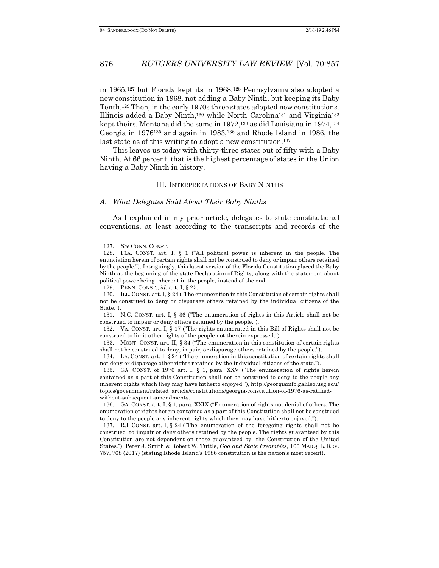in 1965,127 but Florida kept its in 1968.128 Pennsylvania also adopted a new constitution in 1968, not adding a Baby Ninth, but keeping its Baby Tenth.129 Then, in the early 1970s three states adopted new constitutions. Illinois added a Baby Ninth,130 while North Carolina131 and Virginia132 kept theirs. Montana did the same in 1972,133 as did Louisiana in 1974,134 Georgia in 1976135 and again in 1983,136 and Rhode Island in 1986, the last state as of this writing to adopt a new constitution.<sup>137</sup>

This leaves us today with thirty-three states out of fifty with a Baby Ninth. At 66 percent, that is the highest percentage of states in the Union having a Baby Ninth in history.

#### III. INTERPRETATIONS OF BABY NINTHS

#### *A. What Delegates Said About Their Baby Ninths*

As I explained in my prior article, delegates to state constitutional conventions, at least according to the transcripts and records of the

<sup>127.</sup> *See* CONN. CONST.

<sup>128.</sup> FLA. CONST. art. I, § 1 ("All political power is inherent in the people. The enunciation herein of certain rights shall not be construed to deny or impair others retained by the people."). Intriguingly, this latest version of the Florida Constitution placed the Baby Ninth at the beginning of the state Declaration of Rights, along with the statement about political power being inherent in the people, instead of the end.

<sup>129.</sup> PENN. CONST.; *id.* art. I, § 25.

<sup>130.</sup> ILL. CONST. art. I, § 24 ("The enumeration in this Constitution of certain rights shall not be construed to deny or disparage others retained by the individual citizens of the State.").

<sup>131.</sup> N.C. CONST. art. I, § 36 ("The enumeration of rights in this Article shall not be construed to impair or deny others retained by the people.").

<sup>132.</sup> VA. CONST. art. I, § 17 ("The rights enumerated in this Bill of Rights shall not be construed to limit other rights of the people not therein expressed.").

<sup>133.</sup> MONT. CONST. art. II, § 34 ("The enumeration in this constitution of certain rights shall not be construed to deny, impair, or disparage others retained by the people.").

<sup>134.</sup> LA. CONST. art. I, § 24 ("The enumeration in this constitution of certain rights shall not deny or disparage other rights retained by the individual citizens of the state.").

<sup>135.</sup> GA. CONST. of 1976 art. I, § 1, para. XXV ("The enumeration of rights herein contained as a part of this Constitution shall not be construed to deny to the people any inherent rights which they may have hitherto enjoyed."), http://georgiainfo.galileo.usg.edu/ topics/government/related\_article/constitutions/georgia-constitution-of-1976-as-ratifiedwithout-subsequent-amendments.

<sup>136.</sup> GA. CONST. art. I, § 1, para. XXIX ("Enumeration of rights not denial of others. The enumeration of rights herein contained as a part of this Constitution shall not be construed to deny to the people any inherent rights which they may have hitherto enjoyed.").

<sup>137.</sup> R.I. CONST. art. I, § 24 ("The enumeration of the foregoing rights shall not be construed to impair or deny others retained by the people. The rights guaranteed by this Constitution are not dependent on those guaranteed by the Constitution of the United States."); Peter J. Smith & Robert W. Tuttle, *God and State Preambles*, 100 MARQ. L. REV. 757, 768 (2017) (stating Rhode Island's 1986 constitution is the nation's most recent).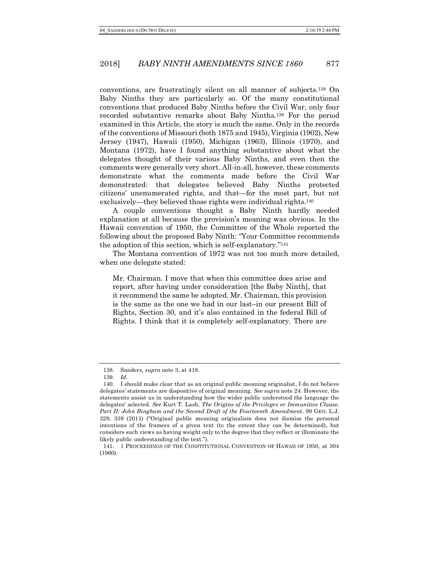conventions, are frustratingly silent on all manner of subjects.138 On Baby Ninths they are particularly so. Of the many constitutional conventions that produced Baby Ninths before the Civil War, only four recorded substantive remarks about Baby Ninths.139 For the period examined in this Article, the story is much the same. Only in the records of the conventions of Missouri (both 1875 and 1945), Virginia (1902), New Jersey (1947), Hawaii (1950), Michigan (1963), Illinois (1970), and Montana (1972), have I found anything substantive about what the delegates thought of their various Baby Ninths, and even then the comments were generally very short. All-in-all, however, these comments demonstrate what the comments made before the Civil War demonstrated: that delegates believed Baby Ninths protected citizens' unenumerated rights, and that—for the most part, but not exclusively—they believed those rights were individual rights.140

A couple conventions thought a Baby Ninth hardly needed explanation at all because the provision's meaning was obvious. In the Hawaii convention of 1950, the Committee of the Whole reported the following about the proposed Baby Ninth: "Your Committee recommends the adoption of this section, which is self-explanatory."141

The Montana convention of 1972 was not too much more detailed, when one delegate stated:

Mr. Chairman. I move that when this committee does arise and report, after having under consideration [the Baby Ninth], that it recommend the same be adopted. Mr. Chairman, this provision is the same as the one we had in our last–in our present Bill of Rights, Section 30, and it's also contained in the federal Bill of Rights. I think that it is completely self-explanatory. There are

<sup>138.</sup> Sanders*, supra* note 3, at 418.

<sup>139.</sup> *Id.*

<sup>140.</sup> I should make clear that as an original public meaning originalist, I do not believe delegates' statements are dispositive of original meaning. *See supra* note 24. However, the statements assist us in understanding how the wider public understood the language the delegates' selected. *See* Kurt T. Lash, *The Origins of the Privileges or Immunities Clause, Part II: John Bingham and the Second Draft of the Fourteenth Amendment*, 99 GEO. L.J. 329, 339 (2011) ("Original public meaning originalism does not dismiss the personal intentions of the framers of a given text (to the extent they can be determined), but considers such views as having weight only to the degree that they reflect or illuminate the likely public understanding of the text.").

<sup>141.</sup> 1 PROCEEDINGS OF THE CONSTITUTIONAL CONVENTION OF HAWAII OF 1950, at 304 (1960).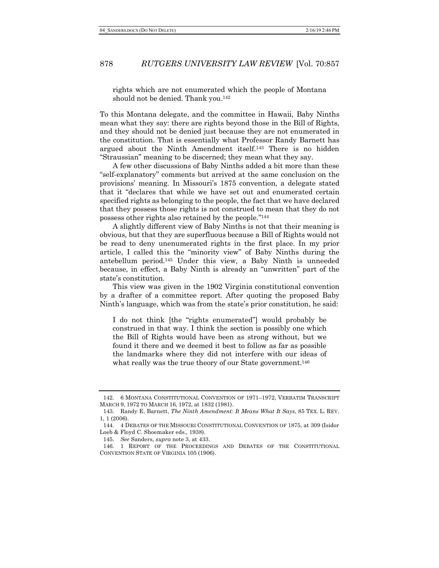rights which are not enumerated which the people of Montana should not be denied. Thank you.142

To this Montana delegate, and the committee in Hawaii, Baby Ninths mean what they say: there are rights beyond those in the Bill of Rights, and they should not be denied just because they are not enumerated in the constitution. That is essentially what Professor Randy Barnett has argued about the Ninth Amendment itself.143 There is no hidden "Straussian" meaning to be discerned; they mean what they say.

A few other discussions of Baby Ninths added a bit more than these "self-explanatory" comments but arrived at the same conclusion on the provisions' meaning. In Missouri's 1875 convention, a delegate stated that it "declares that while we have set out and enumerated certain specified rights as belonging to the people, the fact that we have declared that they possess those rights is not construed to mean that they do not possess other rights also retained by the people."144

A slightly different view of Baby Ninths is not that their meaning is obvious, but that they are superfluous because a Bill of Rights would not be read to deny unenumerated rights in the first place. In my prior article, I called this the "minority view" of Baby Ninths during the antebellum period.145 Under this view, a Baby Ninth is unneeded because, in effect, a Baby Ninth is already an "unwritten" part of the state's constitution.

This view was given in the 1902 Virginia constitutional convention by a drafter of a committee report. After quoting the proposed Baby Ninth's language, which was from the state's prior constitution, he said:

I do not think [the "rights enumerated"] would probably be construed in that way. I think the section is possibly one which the Bill of Rights would have been as strong without, but we found it there and we deemed it best to follow as far as possible the landmarks where they did not interfere with our ideas of what really was the true theory of our State government.<sup>146</sup>

<sup>142.</sup> 6 MONTANA CONSTITUTIONAL CONVENTION OF 1971–1972, VERBATIM TRANSCRIPT MARCH 9, 1972 TO MARCH 16, 1972, at 1832 (1981).

<sup>143.</sup> Randy E. Barnett, *The Ninth Amendment: It Means What It Says*, 85 TEX. L. REV. 1, 1 (2006).

<sup>144.</sup> 4 DEBATES OF THE MISSOURI CONSTITUTIONAL CONVENTION OF 1875, at 309 (Isidor Loeb & Floyd C. Shoemaker eds., 1938).

<sup>145.</sup> *See* Sanders, *supra* note 3, at 433.

<sup>146.</sup> 1 REPORT OF THE PROCEEDINGS AND DEBATES OF THE CONSTITUTIONAL CONVENTION STATE OF VIRGINIA 105 (1906).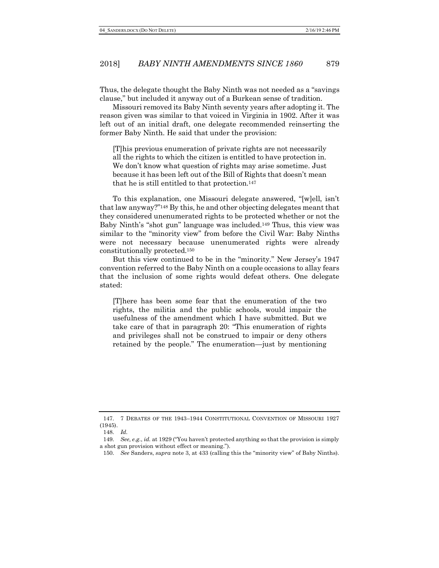Thus, the delegate thought the Baby Ninth was not needed as a "savings clause," but included it anyway out of a Burkean sense of tradition.

Missouri removed its Baby Ninth seventy years after adopting it. The reason given was similar to that voiced in Virginia in 1902. After it was left out of an initial draft, one delegate recommended reinserting the former Baby Ninth. He said that under the provision:

[T]his previous enumeration of private rights are not necessarily all the rights to which the citizen is entitled to have protection in. We don't know what question of rights may arise sometime. Just because it has been left out of the Bill of Rights that doesn't mean that he is still entitled to that protection.147

To this explanation, one Missouri delegate answered, "[w]ell, isn't that law anyway?"148 By this, he and other objecting delegates meant that they considered unenumerated rights to be protected whether or not the Baby Ninth's "shot gun" language was included.149 Thus, this view was similar to the "minority view" from before the Civil War: Baby Ninths were not necessary because unenumerated rights were already constitutionally protected.150

But this view continued to be in the "minority." New Jersey's 1947 convention referred to the Baby Ninth on a couple occasions to allay fears that the inclusion of some rights would defeat others. One delegate stated:

[T]here has been some fear that the enumeration of the two rights, the militia and the public schools, would impair the usefulness of the amendment which I have submitted. But we take care of that in paragraph 20: "This enumeration of rights and privileges shall not be construed to impair or deny others retained by the people." The enumeration—just by mentioning

<sup>147.</sup> 7 DEBATES OF THE 1943–1944 CONSTITUTIONAL CONVENTION OF MISSOURI 1927 (1945).

<sup>148.</sup> *Id.*

<sup>149.</sup> *See, e.g.*, *id.* at 1929 ("You haven't protected anything so that the provision is simply a shot gun provision without effect or meaning.").

<sup>150.</sup> *See* Sanders, *supra* note 3, at 433 (calling this the "minority view" of Baby Ninths).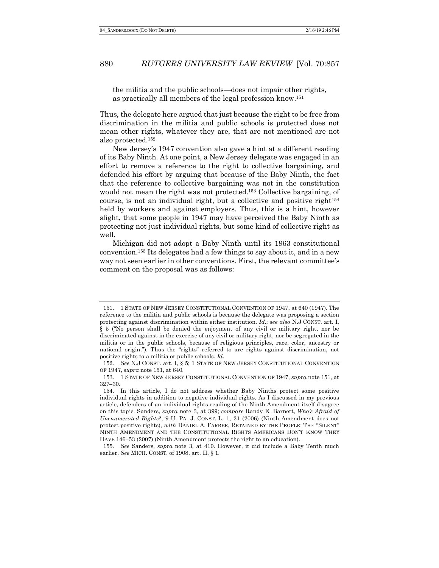the militia and the public schools—does not impair other rights, as practically all members of the legal profession know.151

Thus, the delegate here argued that just because the right to be free from discrimination in the militia and public schools is protected does not mean other rights, whatever they are, that are not mentioned are not also protected.152

New Jersey's 1947 convention also gave a hint at a different reading of its Baby Ninth. At one point, a New Jersey delegate was engaged in an effort to remove a reference to the right to collective bargaining, and defended his effort by arguing that because of the Baby Ninth, the fact that the reference to collective bargaining was not in the constitution would not mean the right was not protected.153 Collective bargaining, of course, is not an individual right, but a collective and positive right154 held by workers and against employers. Thus, this is a hint, however slight, that some people in 1947 may have perceived the Baby Ninth as protecting not just individual rights, but some kind of collective right as well.

Michigan did not adopt a Baby Ninth until its 1963 constitutional convention.155 Its delegates had a few things to say about it, and in a new way not seen earlier in other conventions. First, the relevant committee's comment on the proposal was as follows:

<sup>151.</sup> 1 STATE OF NEW JERSEY CONSTITUTIONAL CONVENTION OF 1947, at 640 (1947). The reference to the militia and public schools is because the delegate was proposing a section protecting against discrimination within either institution. *Id.*; *see also* N.J CONST. art. I, § 5 ("No person shall be denied the enjoyment of any civil or military right, nor be discriminated against in the exercise of any civil or military right, nor be segregated in the militia or in the public schools, because of religious principles, race, color, ancestry or national origin."). Thus the "rights" referred to are rights against discrimination, not positive rights to a militia or public schools. *Id.*

<sup>152.</sup> *See* N.J CONST. art. I, § 5; 1 STATE OF NEW JERSEY CONSTITUTIONAL CONVENTION OF 1947, *supra* note 151, at 640.

<sup>153.</sup> 1 STATE OF NEW JERSEY CONSTITUTIONAL CONVENTION OF 1947, *supra* note 151, at 327–30.

<sup>154.</sup> In this article, I do not address whether Baby Ninths protect some positive individual rights in addition to negative individual rights. As I discussed in my previous article, defenders of an individual rights reading of the Ninth Amendment itself disagree on this topic. Sanders, *supra* note 3, at 399; *compare* Randy E. Barnett, *Who's Afraid of Unenumerated Rights?*, 9 U. PA. J. CONST. L. 1, 21 (2006) (Ninth Amendment does not protect positive rights), *with* DANIEL A. FARBER, RETAINED BY THE PEOPLE: THE "SILENT" NINTH AMENDMENT AND THE CONSTITUTIONAL RIGHTS AMERICANS DON'T KNOW THEY HAVE 146–53 (2007) (Ninth Amendment protects the right to an education).

<sup>155.</sup> *See* Sanders, *supra* note 3, at 410. However, it did include a Baby Tenth much earlier. *See* MICH. CONST. of 1908, art. II, § 1.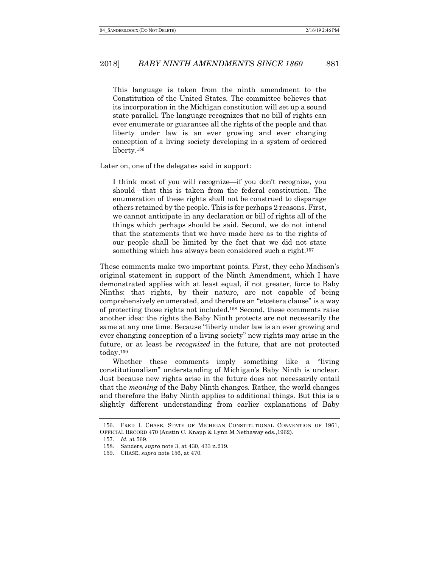This language is taken from the ninth amendment to the Constitution of the United States. The committee believes that its incorporation in the Michigan constitution will set up a sound state parallel. The language recognizes that no bill of rights can ever enumerate or guarantee all the rights of the people and that liberty under law is an ever growing and ever changing conception of a living society developing in a system of ordered liberty.156

Later on, one of the delegates said in support:

I think most of you will recognize—if you don't recognize, you should—that this is taken from the federal constitution. The enumeration of these rights shall not be construed to disparage others retained by the people. This is for perhaps 2 reasons. First, we cannot anticipate in any declaration or bill of rights all of the things which perhaps should be said. Second, we do not intend that the statements that we have made here as to the rights of our people shall be limited by the fact that we did not state something which has always been considered such a right.<sup>157</sup>

These comments make two important points. First, they echo Madison's original statement in support of the Ninth Amendment, which I have demonstrated applies with at least equal, if not greater, force to Baby Ninths: that rights, by their nature, are not capable of being comprehensively enumerated, and therefore an "etcetera clause" is a way of protecting those rights not included.158 Second, these comments raise another idea: the rights the Baby Ninth protects are not necessarily the same at any one time. Because "liberty under law is an ever growing and ever changing conception of a living society" new rights may arise in the future, or at least be *recognized* in the future, that are not protected today.159

Whether these comments imply something like a "living constitutionalism" understanding of Michigan's Baby Ninth is unclear. Just because new rights arise in the future does not necessarily entail that the *meaning* of the Baby Ninth changes. Rather, the world changes and therefore the Baby Ninth applies to additional things. But this is a slightly different understanding from earlier explanations of Baby

<sup>156.</sup> FRED I. CHASE, STATE OF MICHIGAN CONSTITUTIONAL CONVENTION OF 1961, OFFICIAL RECORD 470 (Austin C. Knapp & Lynn M Nethaway eds.,1962).

<sup>157.</sup> *Id.* at 569.

<sup>158.</sup> Sanders, *supra* note 3, at 430, 433 n.219.

<sup>159.</sup> CHASE, *supra* note 156, at 470.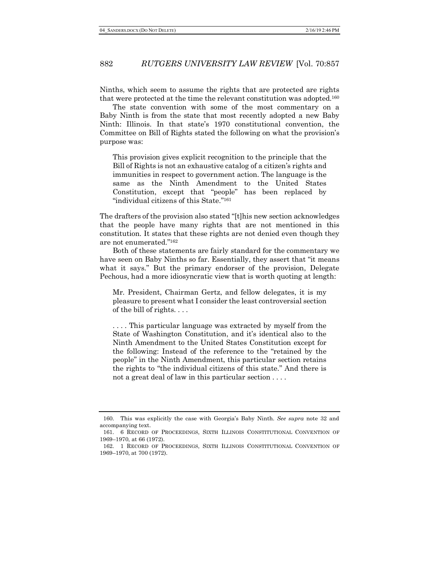Ninths, which seem to assume the rights that are protected are rights that were protected at the time the relevant constitution was adopted.160

The state convention with some of the most commentary on a Baby Ninth is from the state that most recently adopted a new Baby Ninth: Illinois. In that state's 1970 constitutional convention, the Committee on Bill of Rights stated the following on what the provision's purpose was:

This provision gives explicit recognition to the principle that the Bill of Rights is not an exhaustive catalog of a citizen's rights and immunities in respect to government action. The language is the same as the Ninth Amendment to the United States Constitution, except that "people" has been replaced by "individual citizens of this State."<sup>161</sup>

The drafters of the provision also stated "[t]his new section acknowledges that the people have many rights that are not mentioned in this constitution. It states that these rights are not denied even though they are not enumerated."162

Both of these statements are fairly standard for the commentary we have seen on Baby Ninths so far. Essentially, they assert that "it means what it says." But the primary endorser of the provision, Delegate Pechous, had a more idiosyncratic view that is worth quoting at length:

Mr. President, Chairman Gertz, and fellow delegates, it is my pleasure to present what I consider the least controversial section of the bill of rights. . . .

. . . . This particular language was extracted by myself from the State of Washington Constitution, and it's identical also to the Ninth Amendment to the United States Constitution except for the following: Instead of the reference to the "retained by the people" in the Ninth Amendment, this particular section retains the rights to "the individual citizens of this state." And there is not a great deal of law in this particular section . . . .

<sup>160.</sup> This was explicitly the case with Georgia's Baby Ninth. *See supra* note 32 and accompanying text.

<sup>161.</sup> 6 RECORD OF PROCEEDINGS, SIXTH ILLINOIS CONSTITUTIONAL CONVENTION OF 1969–1970, at 66 (1972).

<sup>162.</sup> 1 RECORD OF PROCEEDINGS, SIXTH ILLINOIS CONSTITUTIONAL CONVENTION OF 1969–1970, at 700 (1972).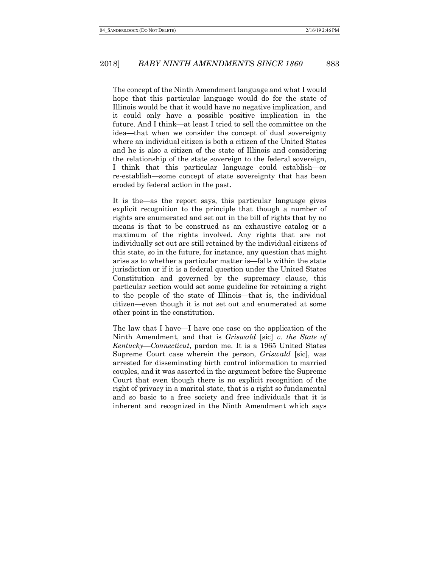The concept of the Ninth Amendment language and what I would hope that this particular language would do for the state of Illinois would be that it would have no negative implication, and it could only have a possible positive implication in the future. And I think—at least I tried to sell the committee on the idea—that when we consider the concept of dual sovereignty where an individual citizen is both a citizen of the United States and he is also a citizen of the state of Illinois and considering the relationship of the state sovereign to the federal sovereign, I think that this particular language could establish—or re-establish—some concept of state sovereignty that has been eroded by federal action in the past.

It is the—as the report says, this particular language gives explicit recognition to the principle that though a number of rights are enumerated and set out in the bill of rights that by no means is that to be construed as an exhaustive catalog or a maximum of the rights involved. Any rights that are not individually set out are still retained by the individual citizens of this state, so in the future, for instance, any question that might arise as to whether a particular matter is—falls within the state jurisdiction or if it is a federal question under the United States Constitution and governed by the supremacy clause, this particular section would set some guideline for retaining a right to the people of the state of Illinois—that is, the individual citizen—even though it is not set out and enumerated at some other point in the constitution.

The law that I have—I have one case on the application of the Ninth Amendment, and that is *Griswald* [sic] *v. the State of Kentucky—Connecticut*, pardon me. It is a 1965 United States Supreme Court case wherein the person, *Griswald* [sic], was arrested for disseminating birth control information to married couples, and it was asserted in the argument before the Supreme Court that even though there is no explicit recognition of the right of privacy in a marital state, that is a right so fundamental and so basic to a free society and free individuals that it is inherent and recognized in the Ninth Amendment which says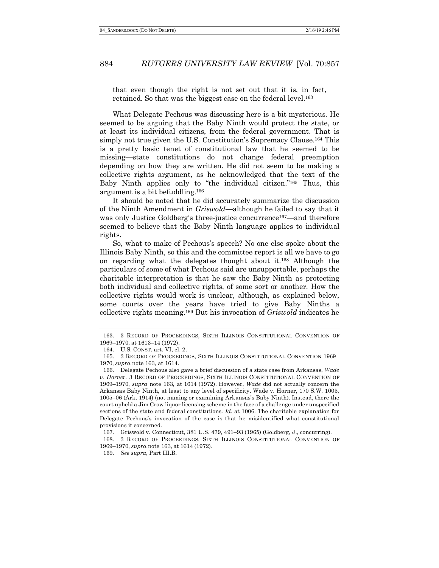that even though the right is not set out that it is, in fact, retained. So that was the biggest case on the federal level.163

What Delegate Pechous was discussing here is a bit mysterious. He seemed to be arguing that the Baby Ninth would protect the state, or at least its individual citizens, from the federal government. That is simply not true given the U.S. Constitution's Supremacy Clause.164 This is a pretty basic tenet of constitutional law that he seemed to be missing—state constitutions do not change federal preemption depending on how they are written. He did not seem to be making a collective rights argument, as he acknowledged that the text of the Baby Ninth applies only to "the individual citizen."165 Thus, this argument is a bit befuddling.166

It should be noted that he did accurately summarize the discussion of the Ninth Amendment in *Griswold*—although he failed to say that it was only Justice Goldberg's three-justice concurrence<sup>167</sup>—and therefore seemed to believe that the Baby Ninth language applies to individual rights.

So, what to make of Pechous's speech? No one else spoke about the Illinois Baby Ninth, so this and the committee report is all we have to go on regarding what the delegates thought about it.168 Although the particulars of some of what Pechous said are unsupportable, perhaps the charitable interpretation is that he saw the Baby Ninth as protecting both individual and collective rights, of some sort or another. How the collective rights would work is unclear, although, as explained below, some courts over the years have tried to give Baby Ninths a collective rights meaning.169 But his invocation of *Griswold* indicates he

<sup>163.</sup> 3 RECORD OF PROCEEDINGS, SIXTH ILLINOIS CONSTITUTIONAL CONVENTION OF 1969–1970, at 1613–14 (1972).

<sup>164.</sup> U.S. CONST. art. VI, cl. 2.

<sup>165.</sup> 3 RECORD OF PROCEEDINGS, SIXTH ILLINOIS CONSTITUTIONAL CONVENTION 1969– 1970, *supra* note 163, at 1614.

<sup>166.</sup> Delegate Pechous also gave a brief discussion of a state case from Arkansas, *Wade v. Horner*. 3 RECORD OF PROCEEDINGS, SIXTH ILLINOIS CONSTITUTIONAL CONVENTION OF 1969–1970, *supra* note 163, at 1614 (1972). However, *Wade* did not actually concern the Arkansas Baby Ninth, at least to any level of specificity. Wade v. Horner, 170 S.W. 1005, 1005–06 (Ark. 1914) (not naming or examining Arkansas's Baby Ninth). Instead, there the court upheld a Jim Crow liquor licensing scheme in the face of a challenge under unspecified sections of the state and federal constitutions. *Id.* at 1006. The charitable explanation for Delegate Pechous's invocation of the case is that he misidentified what constitutional provisions it concerned.

<sup>167.</sup> Griswold v. Connecticut, 381 U.S. 479, 491–93 (1965) (Goldberg, J., concurring).

<sup>168.</sup> 3 RECORD OF PROCEEDINGS, SIXTH ILLINOIS CONSTITUTIONAL CONVENTION OF 1969–1970, *supra* note 163, at 1614 (1972).

<sup>169.</sup> *See supra*, Part III.B.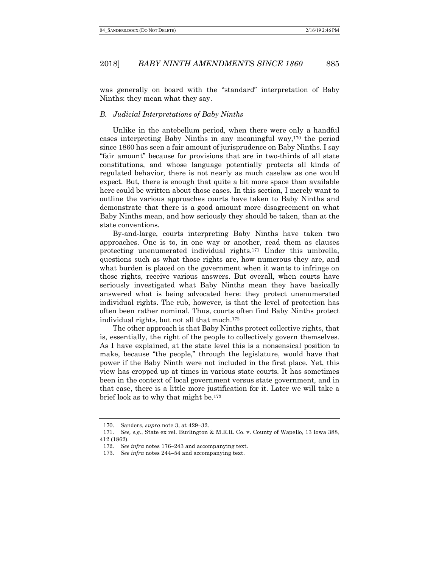was generally on board with the "standard" interpretation of Baby Ninths: they mean what they say.

# *B. Judicial Interpretations of Baby Ninths*

Unlike in the antebellum period, when there were only a handful cases interpreting Baby Ninths in any meaningful way,170 the period since 1860 has seen a fair amount of jurisprudence on Baby Ninths. I say "fair amount" because for provisions that are in two-thirds of all state constitutions, and whose language potentially protects all kinds of regulated behavior, there is not nearly as much caselaw as one would expect. But, there is enough that quite a bit more space than available here could be written about those cases. In this section, I merely want to outline the various approaches courts have taken to Baby Ninths and demonstrate that there is a good amount more disagreement on what Baby Ninths mean, and how seriously they should be taken, than at the state conventions.

By-and-large, courts interpreting Baby Ninths have taken two approaches. One is to, in one way or another, read them as clauses protecting unenumerated individual rights.171 Under this umbrella, questions such as what those rights are, how numerous they are, and what burden is placed on the government when it wants to infringe on those rights, receive various answers. But overall, when courts have seriously investigated what Baby Ninths mean they have basically answered what is being advocated here: they protect unenumerated individual rights. The rub, however, is that the level of protection has often been rather nominal. Thus, courts often find Baby Ninths protect individual rights, but not all that much.172

The other approach is that Baby Ninths protect collective rights, that is, essentially, the right of the people to collectively govern themselves. As I have explained, at the state level this is a nonsensical position to make, because "the people," through the legislature, would have that power if the Baby Ninth were not included in the first place. Yet, this view has cropped up at times in various state courts. It has sometimes been in the context of local government versus state government, and in that case, there is a little more justification for it. Later we will take a brief look as to why that might be.173

<sup>170.</sup> Sanders, *supra* note 3, at 429–32.

<sup>171.</sup> *See, e.g.*, State ex rel. Burlington & M.R.R. Co. v. County of Wapello, 13 Iowa 388, 412 (1862).

<sup>172.</sup> *See infra* notes 176–243 and accompanying text.

<sup>173.</sup> *See infra* notes 244–54 and accompanying text.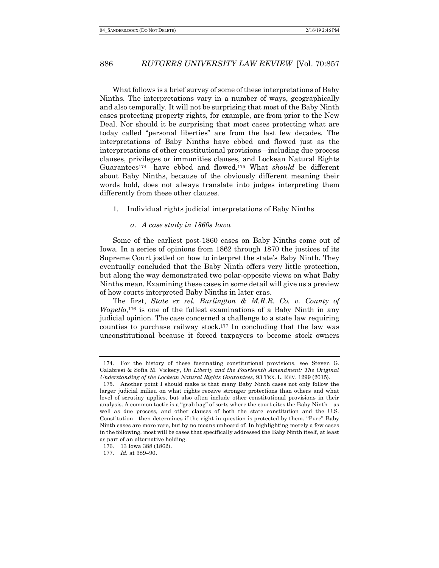What follows is a brief survey of some of these interpretations of Baby Ninths. The interpretations vary in a number of ways, geographically and also temporally. It will not be surprising that most of the Baby Ninth cases protecting property rights, for example, are from prior to the New Deal. Nor should it be surprising that most cases protecting what are today called "personal liberties" are from the last few decades. The interpretations of Baby Ninths have ebbed and flowed just as the interpretations of other constitutional provisions—including due process clauses, privileges or immunities clauses, and Lockean Natural Rights Guarantees174—have ebbed and flowed.175 What *should* be different about Baby Ninths, because of the obviously different meaning their words hold, does not always translate into judges interpreting them differently from these other clauses.

1. Individual rights judicial interpretations of Baby Ninths

### *a. A case study in 1860s Iowa*

Some of the earliest post-1860 cases on Baby Ninths come out of Iowa. In a series of opinions from 1862 through 1870 the justices of its Supreme Court jostled on how to interpret the state's Baby Ninth. They eventually concluded that the Baby Ninth offers very little protection, but along the way demonstrated two polar-opposite views on what Baby Ninths mean. Examining these cases in some detail will give us a preview of how courts interpreted Baby Ninths in later eras.

The first, *State ex rel. Burlington & M.R.R. Co. v. County of Wapello*,176 is one of the fullest examinations of a Baby Ninth in any judicial opinion. The case concerned a challenge to a state law requiring counties to purchase railway stock.177 In concluding that the law was unconstitutional because it forced taxpayers to become stock owners

<sup>174.</sup> For the history of these fascinating constitutional provisions, see Steven G. Calabresi & Sofia M. Vickery, *On Liberty and the Fourteenth Amendment: The Original Understanding of the Lockean Natural Rights Guarantees*, 93 TEX. L. REV. 1299 (2015).

<sup>175.</sup> Another point I should make is that many Baby Ninth cases not only follow the larger judicial milieu on what rights receive stronger protections than others and what level of scrutiny applies, but also often include other constitutional provisions in their analysis. A common tactic is a "grab bag" of sorts where the court cites the Baby Ninth—as well as due process, and other clauses of both the state constitution and the U.S. Constitution—then determines if the right in question is protected by them. "Pure" Baby Ninth cases are more rare, but by no means unheard of. In highlighting merely a few cases in the following, most will be cases that specifically addressed the Baby Ninth itself, at least as part of an alternative holding.

<sup>176.</sup> 13 Iowa 388 (1862).

<sup>177.</sup> *Id.* at 389–90.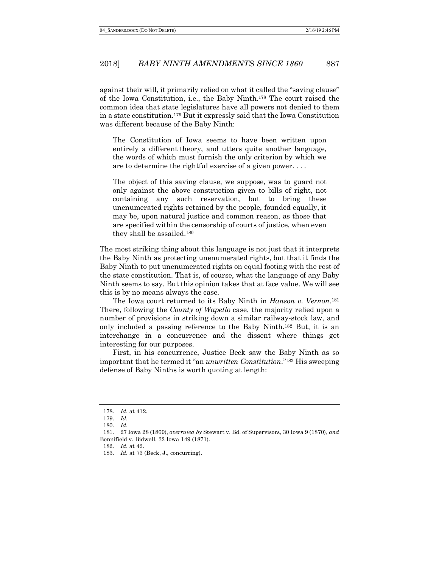against their will, it primarily relied on what it called the "saving clause" of the Iowa Constitution, i.e., the Baby Ninth.178 The court raised the common idea that state legislatures have all powers not denied to them in a state constitution.179 But it expressly said that the Iowa Constitution was different because of the Baby Ninth:

The Constitution of Iowa seems to have been written upon entirely a different theory, and utters quite another language, the words of which must furnish the only criterion by which we are to determine the rightful exercise of a given power. . . .

The object of this saving clause, we suppose, was to guard not only against the above construction given to bills of right, not containing any such reservation, but to bring these unenumerated rights retained by the people, founded equally, it may be, upon natural justice and common reason, as those that are specified within the censorship of courts of justice, when even they shall be assailed.180

The most striking thing about this language is not just that it interprets the Baby Ninth as protecting unenumerated rights, but that it finds the Baby Ninth to put unenumerated rights on equal footing with the rest of the state constitution. That is, of course, what the language of any Baby Ninth seems to say. But this opinion takes that at face value. We will see this is by no means always the case.

The Iowa court returned to its Baby Ninth in *Hanson v. Vernon*.181 There, following the *County of Wapello* case, the majority relied upon a number of provisions in striking down a similar railway-stock law, and only included a passing reference to the Baby Ninth.182 But, it is an interchange in a concurrence and the dissent where things get interesting for our purposes.

First, in his concurrence, Justice Beck saw the Baby Ninth as so important that he termed it "an *unwritten Constitution*."183 His sweeping defense of Baby Ninths is worth quoting at length:

<sup>178.</sup> *Id.* at 412.

<sup>179.</sup> *Id.*

<sup>180.</sup> *Id.*

<sup>181.</sup> 27 Iowa 28 (1869), *overruled by* Stewart v. Bd. of Supervisors, 30 Iowa 9 (1870), *and* Bonnifield v. Bidwell, 32 Iowa 149 (1871).

<sup>182.</sup> *Id.* at 42.

<sup>183.</sup> *Id.* at 73 (Beck, J., concurring).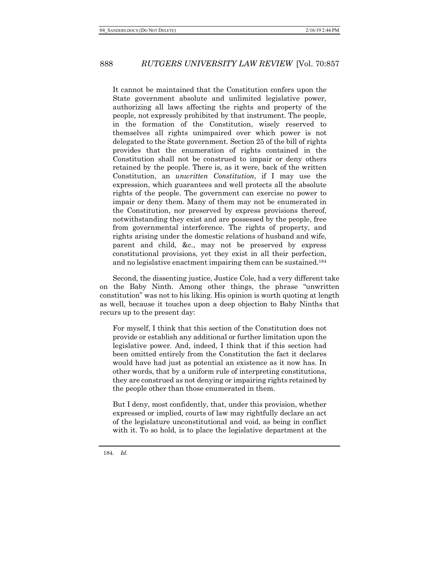It cannot be maintained that the Constitution confers upon the State government absolute and unlimited legislative power, authorizing all laws affecting the rights and property of the people, not expressly prohibited by that instrument. The people, in the formation of the Constitution, wisely reserved to themselves all rights unimpaired over which power is not delegated to the State government. Section 25 of the bill of rights provides that the enumeration of rights contained in the Constitution shall not be construed to impair or deny others retained by the people. There is, as it were, back of the written Constitution, an *unwritten Constitution*, if I may use the expression, which guarantees and well protects all the absolute rights of the people. The government can exercise no power to impair or deny them. Many of them may not be enumerated in the Constitution, nor preserved by express provisions thereof, notwithstanding they exist and are possessed by the people, free from governmental interference. The rights of property, and rights arising under the domestic relations of husband and wife, parent and child, &c., may not be preserved by express constitutional provisions, yet they exist in all their perfection, and no legislative enactment impairing them can be sustained.184

Second, the dissenting justice, Justice Cole, had a very different take on the Baby Ninth. Among other things, the phrase "unwritten constitution" was not to his liking. His opinion is worth quoting at length as well, because it touches upon a deep objection to Baby Ninths that recurs up to the present day:

For myself, I think that this section of the Constitution does not provide or establish any additional or further limitation upon the legislative power. And, indeed, I think that if this section had been omitted entirely from the Constitution the fact it declares would have had just as potential an existence as it now has. In other words, that by a uniform rule of interpreting constitutions, they are construed as not denying or impairing rights retained by the people other than those enumerated in them.

But I deny, most confidently, that, under this provision, whether expressed or implied, courts of law may rightfully declare an act of the legislature unconstitutional and void, as being in conflict with it. To so hold, is to place the legislative department at the

184. *Id.*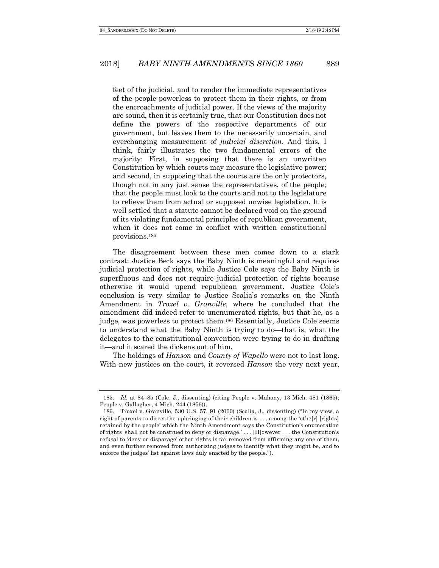feet of the judicial, and to render the immediate representatives of the people powerless to protect them in their rights, or from the encroachments of judicial power. If the views of the majority are sound, then it is certainly true, that our Constitution does not define the powers of the respective departments of our government, but leaves them to the necessarily uncertain, and everchanging measurement of *judicial discretion*. And this, I think, fairly illustrates the two fundamental errors of the majority: First, in supposing that there is an unwritten Constitution by which courts may measure the legislative power; and second, in supposing that the courts are the only protectors, though not in any just sense the representatives, of the people; that the people must look to the courts and not to the legislature to relieve them from actual or supposed unwise legislation. It is well settled that a statute cannot be declared void on the ground of its violating fundamental principles of republican government, when it does not come in conflict with written constitutional provisions.185

The disagreement between these men comes down to a stark contrast: Justice Beck says the Baby Ninth is meaningful and requires judicial protection of rights, while Justice Cole says the Baby Ninth is superfluous and does not require judicial protection of rights because otherwise it would upend republican government. Justice Cole's conclusion is very similar to Justice Scalia's remarks on the Ninth Amendment in *Troxel v. Granville*, where he concluded that the amendment did indeed refer to unenumerated rights, but that he, as a judge, was powerless to protect them.186 Essentially, Justice Cole seems to understand what the Baby Ninth is trying to do—that is, what the delegates to the constitutional convention were trying to do in drafting it—and it scared the dickens out of him.

The holdings of *Hanson* and *County of Wapello* were not to last long. With new justices on the court, it reversed *Hanson* the very next year,

<sup>185.</sup> *Id.* at 84–85 (Cole, J., dissenting) (citing People v. Mahony, 13 Mich. 481 (1865); People v. Gallagher, 4 Mich. 244 (1856).

<sup>186.</sup> Troxel v. Granville, 530 U.S. 57, 91 (2000) (Scalia, J., dissenting) ("In my view, a right of parents to direct the upbringing of their children is . . . among the 'othe[r] [rights] retained by the people' which the Ninth Amendment says the Constitution's enumeration of rights 'shall not be construed to deny or disparage.' . . . [H]owever . . . the Constitution's refusal to 'deny or disparage' other rights is far removed from affirming any one of them, and even further removed from authorizing judges to identify what they might be, and to enforce the judges' list against laws duly enacted by the people.").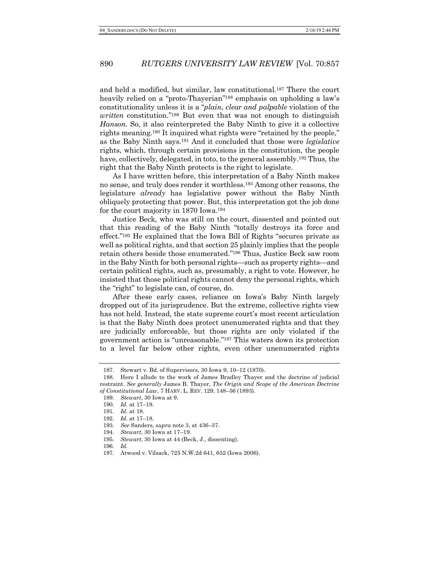and held a modified, but similar, law constitutional.187 There the court heavily relied on a "proto-Thayerian"<sup>188</sup> emphasis on upholding a law's constitutionality unless it is a "*plain*, *clear and palpable* violation of the *written* constitution."189 But even that was not enough to distinguish *Hanson*. So, it also reinterpreted the Baby Ninth to give it a collective rights meaning.190 It inquired what rights were "retained by the people," as the Baby Ninth says.191 And it concluded that those were *legislative*  rights, which, through certain provisions in the constitution, the people have, collectively, delegated, in toto, to the general assembly.192 Thus, the right that the Baby Ninth protects is the right to legislate.

As I have written before, this interpretation of a Baby Ninth makes no sense, and truly does render it worthless.193 Among other reasons, the legislature *already* has legislative power without the Baby Ninth obliquely protecting that power. But, this interpretation got the job done for the court majority in 1870 Iowa.<sup>194</sup>

Justice Beck, who was still on the court, dissented and pointed out that this reading of the Baby Ninth "totally destroys its force and effect."195 He explained that the Iowa Bill of Rights "secures private as well as political rights, and that section 25 plainly implies that the people retain others beside those enumerated."196 Thus, Justice Beck saw room in the Baby Ninth for both personal rights—such as property rights—and certain political rights, such as, presumably, a right to vote. However, he insisted that those political rights cannot deny the personal rights, which the "right" to legislate can, of course, do.

After these early cases, reliance on Iowa's Baby Ninth largely dropped out of its jurisprudence. But the extreme, collective rights view has not held. Instead, the state supreme court's most recent articulation is that the Baby Ninth does protect unenumerated rights and that they are judicially enforceable, but those rights are only violated if the government action is "unreasonable."197 This waters down its protection to a level far below other rights, even other unenumerated rights

<sup>187.</sup> Stewart v. Bd. of Supervisors, 30 Iowa 9, 10–12 (1870).

<sup>188.</sup> Here I allude to the work of James Bradley Thayer and the doctrine of judicial restraint. *See generally* James B. Thayer, *The Origin and Scope of the American Doctrine of Constitutional Law*, 7 HARV. L. REV. 129, 148–56 (1893).

<sup>189.</sup> *Stewart*, 30 Iowa at 9.

<sup>190.</sup> *Id.* at 17–19.

<sup>191.</sup> *Id.* at 18.

<sup>192.</sup> *Id.* at 17–18.

<sup>193.</sup> *See* Sanders, *supra* note 3, at 436–37.

<sup>194.</sup> *Stewart*, 30 Iowa at 17–19.

<sup>195.</sup> *Stewart*, 30 Iowa at 44 (Beck, J., dissenting).

<sup>196.</sup> *Id.*

<sup>197.</sup> Atwood v. Vilsack, 725 N.W.2d 641, 652 (Iowa 2006).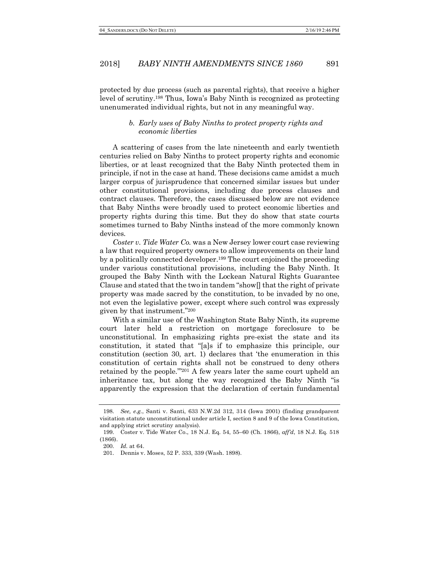protected by due process (such as parental rights), that receive a higher level of scrutiny.198 Thus, Iowa's Baby Ninth is recognized as protecting unenumerated individual rights, but not in any meaningful way.

# *b. Early uses of Baby Ninths to protect property rights and economic liberties*

A scattering of cases from the late nineteenth and early twentieth centuries relied on Baby Ninths to protect property rights and economic liberties, or at least recognized that the Baby Ninth protected them in principle, if not in the case at hand. These decisions came amidst a much larger corpus of jurisprudence that concerned similar issues but under other constitutional provisions, including due process clauses and contract clauses. Therefore, the cases discussed below are not evidence that Baby Ninths were broadly used to protect economic liberties and property rights during this time. But they do show that state courts sometimes turned to Baby Ninths instead of the more commonly known devices.

*Coster v. Tide Water Co.* was a New Jersey lower court case reviewing a law that required property owners to allow improvements on their land by a politically connected developer.199 The court enjoined the proceeding under various constitutional provisions, including the Baby Ninth. It grouped the Baby Ninth with the Lockean Natural Rights Guarantee Clause and stated that the two in tandem "show" that the right of private property was made sacred by the constitution, to be invaded by no one, not even the legislative power, except where such control was expressly given by that instrument."200

With a similar use of the Washington State Baby Ninth, its supreme court later held a restriction on mortgage foreclosure to be unconstitutional. In emphasizing rights pre-exist the state and its constitution, it stated that "[a]s if to emphasize this principle, our constitution (section 30, art. 1) declares that 'the enumeration in this constitution of certain rights shall not be construed to deny others retained by the people.'"201 A few years later the same court upheld an inheritance tax, but along the way recognized the Baby Ninth "is apparently the expression that the declaration of certain fundamental

<sup>198.</sup> *See, e.g.*, Santi v. Santi, 633 N.W.2d 312, 314 (Iowa 2001) (finding grandparent visitation statute unconstitutional under article I, section 8 and 9 of the Iowa Constitution, and applying strict scrutiny analysis).

<sup>199.</sup> Coster v. Tide Water Co., 18 N.J. Eq. 54, 55–60 (Ch. 1866), *aff'd*, 18 N.J. Eq. 518 (1866).

<sup>200.</sup> *Id.* at 64.

<sup>201.</sup> Dennis v. Moses, 52 P. 333, 339 (Wash. 1898).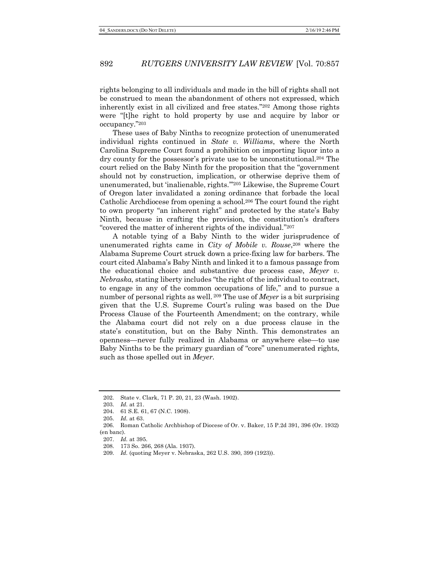rights belonging to all individuals and made in the bill of rights shall not be construed to mean the abandonment of others not expressed, which inherently exist in all civilized and free states."202 Among those rights were "[t]he right to hold property by use and acquire by labor or occupancy."203

These uses of Baby Ninths to recognize protection of unenumerated individual rights continued in *State v. Williams*, where the North Carolina Supreme Court found a prohibition on importing liquor into a dry county for the possessor's private use to be unconstitutional.204 The court relied on the Baby Ninth for the proposition that the "government should not by construction, implication, or otherwise deprive them of unenumerated, but 'inalienable, rights.'"205 Likewise, the Supreme Court of Oregon later invalidated a zoning ordinance that forbade the local Catholic Archdiocese from opening a school.206 The court found the right to own property "an inherent right" and protected by the state's Baby Ninth, because in crafting the provision, the constitution's drafters "covered the matter of inherent rights of the individual."207

A notable tying of a Baby Ninth to the wider jurisprudence of unenumerated rights came in *City of Mobile v. Rouse*,208 where the Alabama Supreme Court struck down a price-fixing law for barbers. The court cited Alabama's Baby Ninth and linked it to a famous passage from the educational choice and substantive due process case, *Meyer v. Nebraska*, stating liberty includes "the right of the individual to contract, to engage in any of the common occupations of life," and to pursue a number of personal rights as well. <sup>209</sup> The use of *Meyer* is a bit surprising given that the U.S. Supreme Court's ruling was based on the Due Process Clause of the Fourteenth Amendment; on the contrary, while the Alabama court did not rely on a due process clause in the state's constitution, but on the Baby Ninth. This demonstrates an openness—never fully realized in Alabama or anywhere else—to use Baby Ninths to be the primary guardian of "core" unenumerated rights, such as those spelled out in *Meyer*.

<sup>202.</sup> State v. Clark, 71 P. 20, 21, 23 (Wash. 1902).

<sup>203.</sup> *Id.* at 21.

<sup>204.</sup> 61 S.E. 61, 67 (N.C. 1908).

<sup>205.</sup> *Id.* at 63.

<sup>206.</sup> Roman Catholic Archbishop of Diocese of Or. v. Baker, 15 P.2d 391, 396 (Or. 1932) (en banc).

<sup>207.</sup> *Id.* at 395.

<sup>208.</sup> 173 So. 266, 268 (Ala. 1937).

<sup>209.</sup> *Id.* (quoting Meyer v. Nebraska, 262 U.S. 390, 399 (1923)).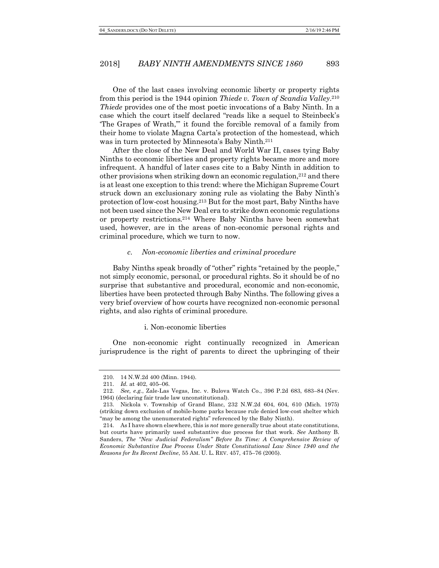One of the last cases involving economic liberty or property rights from this period is the 1944 opinion *Thiede v. Town of Scandia Valley*.210 *Thiede* provides one of the most poetic invocations of a Baby Ninth. In a case which the court itself declared "reads like a sequel to Steinbeck's 'The Grapes of Wrath,'" it found the forcible removal of a family from their home to violate Magna Carta's protection of the homestead, which was in turn protected by Minnesota's Baby Ninth.211

After the close of the New Deal and World War II, cases tying Baby Ninths to economic liberties and property rights became more and more infrequent. A handful of later cases cite to a Baby Ninth in addition to other provisions when striking down an economic regulation,212 and there is at least one exception to this trend: where the Michigan Supreme Court struck down an exclusionary zoning rule as violating the Baby Ninth's protection of low-cost housing.213 But for the most part, Baby Ninths have not been used since the New Deal era to strike down economic regulations or property restrictions.214 Where Baby Ninths have been somewhat used, however, are in the areas of non-economic personal rights and criminal procedure, which we turn to now.

# *c. Non-economic liberties and criminal procedure*

Baby Ninths speak broadly of "other" rights "retained by the people," not simply economic, personal, or procedural rights. So it should be of no surprise that substantive and procedural, economic and non-economic, liberties have been protected through Baby Ninths. The following gives a very brief overview of how courts have recognized non-economic personal rights, and also rights of criminal procedure.

#### i. Non-economic liberties

One non-economic right continually recognized in American jurisprudence is the right of parents to direct the upbringing of their

<sup>210.</sup> 14 N.W.2d 400 (Minn. 1944).

<sup>211.</sup> *Id.* at 402, 405–06.

<sup>212.</sup> *See, e.g.*, Zale-Las Vegas, Inc. v. Bulova Watch Co., 396 P.2d 683, 683–84 (Nev. 1964) (declaring fair trade law unconstitutional).

<sup>213.</sup> Nickola v. Township of Grand Blanc, 232 N.W.2d 604, 604, 610 (Mich. 1975) (striking down exclusion of mobile-home parks because rule denied low-cost shelter which "may be among the unenumerated rights" referenced by the Baby Ninth).

<sup>214.</sup> As I have shown elsewhere, this is *not* more generally true about state constitutions, but courts have primarily used substantive due process for that work. *See* Anthony B. Sanders, *The "New Judicial Federalism" Before Its Time: A Comprehensive Review of Economic Substantive Due Process Under State Constitutional Law Since 1940 and the Reasons for Its Recent Decline*, 55 AM. U. L. REV. 457, 475–76 (2005).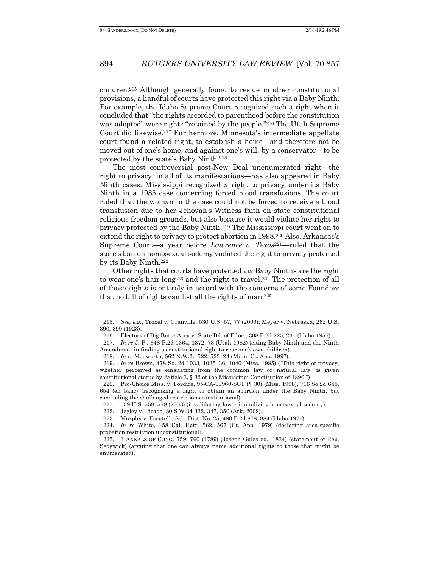children.215 Although generally found to reside in other constitutional provisions, a handful of courts have protected this right via a Baby Ninth. For example, the Idaho Supreme Court recognized such a right when it concluded that "the rights accorded to parenthood before the constitution was adopted" were rights "retained by the people."216 The Utah Supreme Court did likewise.217 Furthermore, Minnesota's intermediate appellate court found a related right, to establish a home—and therefore not be moved out of one's home, and against one's will, by a conservator—to be protected by the state's Baby Ninth.218

The most controversial post-New Deal unenumerated right—the right to privacy, in all of its manifestations—has also appeared in Baby Ninth cases. Mississippi recognized a right to privacy under its Baby Ninth in a 1985 case concerning forced blood transfusions. The court ruled that the woman in the case could not be forced to receive a blood transfusion due to her Jehovah's Witness faith on state constitutional religious freedom grounds, but also because it would violate her right to privacy protected by the Baby Ninth.219 The Mississippi court went on to extend the right to privacy to protect abortion in 1998.220 Also, Arkansas's Supreme Court—a year before *Lawrence v. Texas*221—ruled that the state's ban on homosexual sodomy violated the right to privacy protected by its Baby Ninth.222

Other rights that courts have protected via Baby Ninths are the right to wear one's hair long223 and the right to travel.224 The protection of all of these rights is entirely in accord with the concerns of some Founders that no bill of rights can list all the rights of man.225

<sup>215.</sup> *See, e.g.*, Troxel v. Granville, 530 U.S. 57, 77 (2000); Meyer v. Nebraska, 262 U.S. 390, 399 (1923).

<sup>216.</sup> Electors of Big Butte Area v. State Bd. of Educ., 308 P.2d 225, 231 (Idaho 1957).

<sup>217.</sup> *In re* J. P., 648 P.2d 1364, 1372–73 (Utah 1982) (citing Baby Ninth and the Ninth Amendment in finding a constitutional right to rear one's own children).

<sup>218.</sup> *In re* Medworth, 562 N.W.2d 522, 523–24 (Minn. Ct. App. 1997).

<sup>219.</sup> *In re* Brown, 478 So. 2d 1033, 1035–36, 1040 (Miss. 1985) ("This right of privacy, whether perceived as emanating from the common law or natural law, is given constitutional status by Article 3, § 32 of the Mississippi Constitution of 1890.").

<sup>220.</sup> Pro-Choice Miss. v. Fordice, 95-CA-00960-SCT (¶ 30) (Miss. 1998), 716 So.2d 645, 654 (en banc) (recognizing a right to obtain an abortion under the Baby Ninth, but concluding the challenged restrictions constitutional).

<sup>221.</sup> 539 U.S. 558, 578 (2003) (invalidating law criminalizing homosexual sodomy).

<sup>222.</sup> Jegley v. Picado, 80 S.W.3d 332, 347, 350 (Ark. 2002).

<sup>223.</sup> Murphy v. Pocatello Sch. Dist. No. 25, 480 P.2d 878, 884 (Idaho 1971).

<sup>224.</sup> *In re* White, 158 Cal. Rptr. 562, 567 (Ct. App. 1979) (declaring area-specific probation restriction unconstitutional).

<sup>225.</sup> 1 ANNALS OF CONG. 759, 760 (1789) (Joseph Gales ed., 1834) (statement of Rep. Sedgwick) (arguing that one can always name additional rights to those that might be enumerated).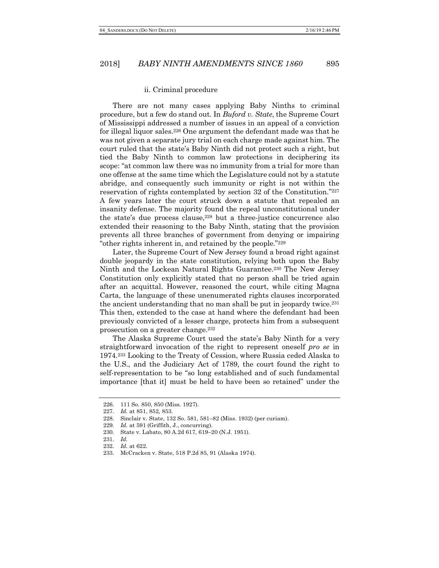#### ii. Criminal procedure

There are not many cases applying Baby Ninths to criminal procedure, but a few do stand out. In *Buford v. State*, the Supreme Court of Mississippi addressed a number of issues in an appeal of a conviction for illegal liquor sales.226 One argument the defendant made was that he was not given a separate jury trial on each charge made against him. The court ruled that the state's Baby Ninth did not protect such a right, but tied the Baby Ninth to common law protections in deciphering its scope: "at common law there was no immunity from a trial for more than one offense at the same time which the Legislature could not by a statute abridge, and consequently such immunity or right is not within the reservation of rights contemplated by section 32 of the Constitution."227 A few years later the court struck down a statute that repealed an insanity defense. The majority found the repeal unconstitutional under the state's due process clause,228 but a three-justice concurrence also extended their reasoning to the Baby Ninth, stating that the provision prevents all three branches of government from denying or impairing "other rights inherent in, and retained by the people."229

Later, the Supreme Court of New Jersey found a broad right against double jeopardy in the state constitution, relying both upon the Baby Ninth and the Lockean Natural Rights Guarantee.230 The New Jersey Constitution only explicitly stated that no person shall be tried again after an acquittal. However, reasoned the court, while citing Magna Carta, the language of these unenumerated rights clauses incorporated the ancient understanding that no man shall be put in jeopardy twice.231 This then, extended to the case at hand where the defendant had been previously convicted of a lesser charge, protects him from a subsequent prosecution on a greater change.232

The Alaska Supreme Court used the state's Baby Ninth for a very straightforward invocation of the right to represent oneself *pro se* in 1974.233 Looking to the Treaty of Cession, where Russia ceded Alaska to the U.S., and the Judiciary Act of 1789, the court found the right to self-representation to be "so long established and of such fundamental importance [that it] must be held to have been so retained" under the

<sup>226.</sup> 111 So. 850, 850 (Miss. 1927).

<sup>227.</sup> *Id.* at 851, 852, 853.

<sup>228.</sup> Sinclair v. State, 132 So. 581, 581–82 (Miss. 1932) (per curiam).

<sup>229.</sup> *Id.* at 591 (Griffith, J., concurring).

<sup>230.</sup> State v. Labato, 80 A.2d 617, 619–20 (N.J. 1951).

<sup>231.</sup> *Id.*

<sup>232.</sup> *Id.* at 622.

<sup>233.</sup> McCracken v. State, 518 P.2d 85, 91 (Alaska 1974).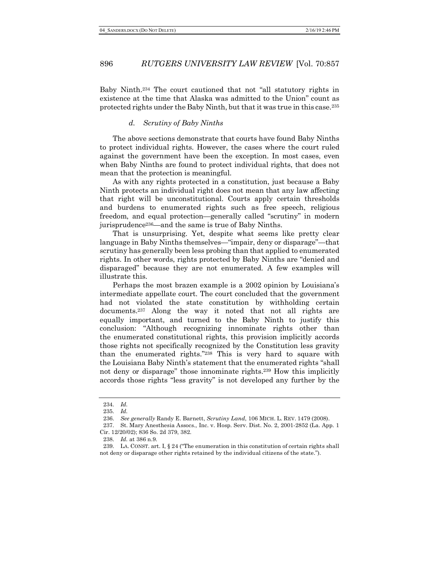Baby Ninth.234 The court cautioned that not "all statutory rights in existence at the time that Alaska was admitted to the Union" count as protected rights under the Baby Ninth, but that it was true in this case.235

#### *d. Scrutiny of Baby Ninths*

The above sections demonstrate that courts have found Baby Ninths to protect individual rights. However, the cases where the court ruled against the government have been the exception. In most cases, even when Baby Ninths are found to protect individual rights, that does not mean that the protection is meaningful.

As with any rights protected in a constitution, just because a Baby Ninth protects an individual right does not mean that any law affecting that right will be unconstitutional. Courts apply certain thresholds and burdens to enumerated rights such as free speech, religious freedom, and equal protection—generally called "scrutiny" in modern jurisprudence236—and the same is true of Baby Ninths.

That is unsurprising. Yet, despite what seems like pretty clear language in Baby Ninths themselves—"impair, deny or disparage"—that scrutiny has generally been less probing than that applied to enumerated rights. In other words, rights protected by Baby Ninths are "denied and disparaged" because they are not enumerated. A few examples will illustrate this.

Perhaps the most brazen example is a 2002 opinion by Louisiana's intermediate appellate court. The court concluded that the government had not violated the state constitution by withholding certain documents.<sup>237</sup> Along the way it noted that not all rights are equally important, and turned to the Baby Ninth to justify this conclusion: "Although recognizing innominate rights other than the enumerated constitutional rights, this provision implicitly accords those rights not specifically recognized by the Constitution less gravity than the enumerated rights."238 This is very hard to square with the Louisiana Baby Ninth's statement that the enumerated rights "shall not deny or disparage" those innominate rights.239 How this implicitly accords those rights "less gravity" is not developed any further by the

<sup>234.</sup> *Id.*

<sup>235.</sup> *Id.*

<sup>236.</sup> *See generally* Randy E. Barnett, *Scrutiny Land*, 106 MICH. L. REV. 1479 (2008).

<sup>237.</sup> St. Mary Anesthesia Assocs., Inc. v. Hosp. Serv. Dist. No. 2, 2001-2852 (La. App. 1 Cir. 12/20/02); 836 So. 2d 379, 382.

<sup>238.</sup> *Id.* at 386 n.9.

<sup>239.</sup> LA. CONST. art. I, § 24 ("The enumeration in this constitution of certain rights shall not deny or disparage other rights retained by the individual citizens of the state.").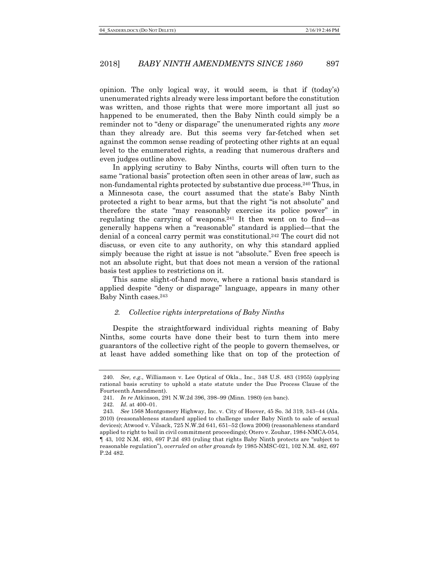opinion. The only logical way, it would seem, is that if (today's) unenumerated rights already were less important before the constitution was written, and those rights that were more important all just so happened to be enumerated, then the Baby Ninth could simply be a reminder not to "deny or disparage" the unenumerated rights any *more*  than they already are. But this seems very far-fetched when set against the common sense reading of protecting other rights at an equal level to the enumerated rights, a reading that numerous drafters and even judges outline above.

In applying scrutiny to Baby Ninths, courts will often turn to the same "rational basis" protection often seen in other areas of law, such as non-fundamental rights protected by substantive due process.240 Thus, in a Minnesota case, the court assumed that the state's Baby Ninth protected a right to bear arms, but that the right "is not absolute" and therefore the state "may reasonably exercise its police power" in regulating the carrying of weapons.<sup>241</sup> It then went on to find—as generally happens when a "reasonable" standard is applied—that the denial of a conceal carry permit was constitutional.242 The court did not discuss, or even cite to any authority, on why this standard applied simply because the right at issue is not "absolute." Even free speech is not an absolute right, but that does not mean a version of the rational basis test applies to restrictions on it.

This same slight-of-hand move, where a rational basis standard is applied despite "deny or disparage" language, appears in many other Baby Ninth cases.243

#### *2. Collective rights interpretations of Baby Ninths*

Despite the straightforward individual rights meaning of Baby Ninths, some courts have done their best to turn them into mere guarantors of the collective right of the people to govern themselves, or at least have added something like that on top of the protection of

<sup>240.</sup> *See, e.g.*, Williamson v. Lee Optical of Okla., Inc., 348 U.S. 483 (1955) (applying rational basis scrutiny to uphold a state statute under the Due Process Clause of the Fourteenth Amendment).

<sup>241.</sup> *In re* Atkinson, 291 N.W.2d 396, 398–99 (Minn. 1980) (en banc).

<sup>242.</sup> *Id.* at 400–01.

<sup>243.</sup> *See* 1568 Montgomery Highway, Inc. v. City of Hoover, 45 So. 3d 319, 343–44 (Ala. 2010) (reasonableness standard applied to challenge under Baby Ninth to sale of sexual devices); Atwood v. Vilsack, 725 N.W.2d 641, 651–52 (Iowa 2006) (reasonableness standard applied to right to bail in civil commitment proceedings); Otero v. Zouhar, 1984-NMCA-054, ¶ 43, 102 N.M. 493, 697 P.2d 493 (ruling that rights Baby Ninth protects are "subject to reasonable regulation"), *overruled on other grounds by* 1985-NMSC-021, 102 N.M. 482, 697 P.2d 482.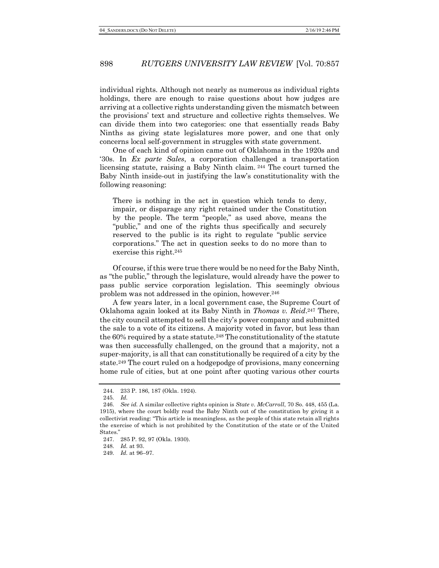individual rights. Although not nearly as numerous as individual rights holdings, there are enough to raise questions about how judges are arriving at a collective rights understanding given the mismatch between the provisions' text and structure and collective rights themselves. We can divide them into two categories: one that essentially reads Baby Ninths as giving state legislatures more power, and one that only concerns local self-government in struggles with state government.

One of each kind of opinion came out of Oklahoma in the 1920s and '30s. In *Ex parte Sales*, a corporation challenged a transportation licensing statute, raising a Baby Ninth claim. <sup>244</sup> The court turned the Baby Ninth inside-out in justifying the law's constitutionality with the following reasoning:

There is nothing in the act in question which tends to deny, impair, or disparage any right retained under the Constitution by the people. The term "people," as used above, means the "public," and one of the rights thus specifically and securely reserved to the public is its right to regulate "public service corporations." The act in question seeks to do no more than to exercise this right.<sup>245</sup>

Of course, if this were true there would be no need for the Baby Ninth, as "the public," through the legislature, would already have the power to pass public service corporation legislation. This seemingly obvious problem was not addressed in the opinion, however.246

A few years later, in a local government case, the Supreme Court of Oklahoma again looked at its Baby Ninth in *Thomas v. Reid*.247 There, the city council attempted to sell the city's power company and submitted the sale to a vote of its citizens. A majority voted in favor, but less than the  $60\%$  required by a state statute.<sup>248</sup> The constitutionality of the statute was then successfully challenged, on the ground that a majority, not a super-majority, is all that can constitutionally be required of a city by the state.249 The court ruled on a hodgepodge of provisions, many concerning home rule of cities, but at one point after quoting various other courts

<sup>244.</sup> 233 P. 186, 187 (Okla. 1924).

<sup>245.</sup> *Id.*

<sup>246.</sup> *See id.* A similar collective rights opinion is *State v. McCarroll*, 70 So. 448, 455 (La. 1915), where the court boldly read the Baby Ninth out of the constitution by giving it a collectivist reading: "This article is meaningless, as the people of this state retain all rights the exercise of which is not prohibited by the Constitution of the state or of the United States."

<sup>247.</sup> 285 P. 92, 97 (Okla. 1930).

<sup>248.</sup> *Id.* at 93.

<sup>249.</sup> *Id.* at 96–97.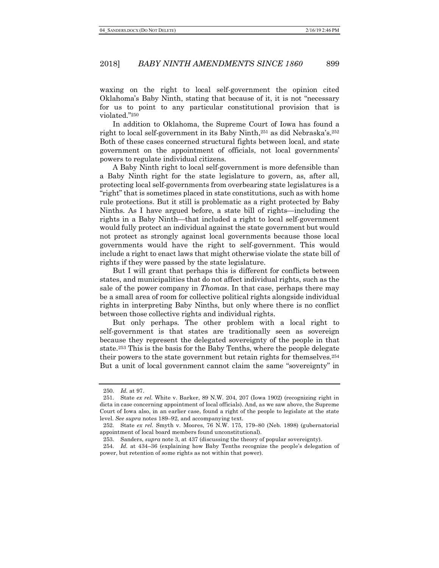waxing on the right to local self-government the opinion cited Oklahoma's Baby Ninth, stating that because of it, it is not "necessary for us to point to any particular constitutional provision that is violated."250

In addition to Oklahoma, the Supreme Court of Iowa has found a right to local self-government in its Baby Ninth,251 as did Nebraska's.252 Both of these cases concerned structural fights between local, and state government on the appointment of officials, not local governments' powers to regulate individual citizens.

A Baby Ninth right to local self-government is more defensible than a Baby Ninth right for the state legislature to govern, as, after all, protecting local self-governments from overbearing state legislatures is a "right" that is sometimes placed in state constitutions, such as with home rule protections. But it still is problematic as a right protected by Baby Ninths. As I have argued before, a state bill of rights—including the rights in a Baby Ninth—that included a right to local self-government would fully protect an individual against the state government but would not protect as strongly against local governments because those local governments would have the right to self-government. This would include a right to enact laws that might otherwise violate the state bill of rights if they were passed by the state legislature.

But I will grant that perhaps this is different for conflicts between states, and municipalities that do not affect individual rights, such as the sale of the power company in *Thomas*. In that case, perhaps there may be a small area of room for collective political rights alongside individual rights in interpreting Baby Ninths, but only where there is no conflict between those collective rights and individual rights.

But only perhaps. The other problem with a local right to self-government is that states are traditionally seen as sovereign because they represent the delegated sovereignty of the people in that state.253 This is the basis for the Baby Tenths, where the people delegate their powers to the state government but retain rights for themselves.254 But a unit of local government cannot claim the same "sovereignty" in

<sup>250.</sup> *Id.* at 97.

<sup>251.</sup> State *ex rel.* White v. Barker, 89 N.W. 204, 207 (Iowa 1902) (recognizing right in dicta in case concerning appointment of local officials). And, as we saw above, the Supreme Court of Iowa also, in an earlier case, found a right of the people to legislate at the state level. *See supra* notes 189–92, and accompanying text.

<sup>252.</sup> State *ex rel.* Smyth v. Moores, 76 N.W. 175, 179–80 (Neb. 1898) (gubernatorial appointment of local board members found unconstitutional).

<sup>253.</sup> Sanders, *supra* note 3, at 437 (discussing the theory of popular sovereignty).

<sup>254.</sup> *Id.* at 434–36 (explaining how Baby Tenths recognize the people's delegation of power, but retention of some rights as not within that power).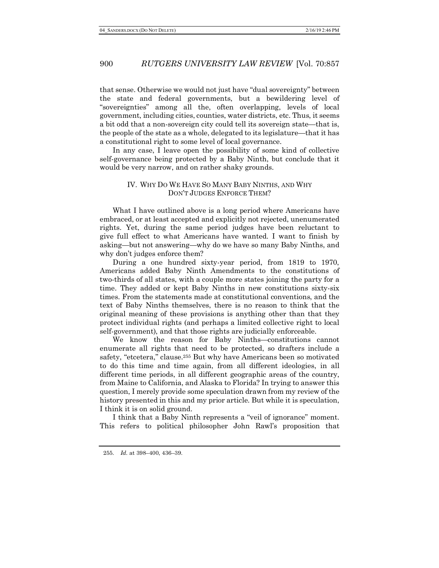that sense. Otherwise we would not just have "dual sovereignty" between the state and federal governments, but a bewildering level of "sovereignties" among all the, often overlapping, levels of local government, including cities, counties, water districts, etc. Thus, it seems a bit odd that a non-sovereign city could tell its sovereign state—that is, the people of the state as a whole, delegated to its legislature—that it has a constitutional right to some level of local governance.

In any case, I leave open the possibility of some kind of collective self-governance being protected by a Baby Ninth, but conclude that it would be very narrow, and on rather shaky grounds.

# IV. WHY DO WE HAVE SO MANY BABY NINTHS, AND WHY DON'T JUDGES ENFORCE THEM?

What I have outlined above is a long period where Americans have embraced, or at least accepted and explicitly not rejected, unenumerated rights. Yet, during the same period judges have been reluctant to give full effect to what Americans have wanted. I want to finish by asking—but not answering—why do we have so many Baby Ninths, and why don't judges enforce them?

During a one hundred sixty-year period, from 1819 to 1970, Americans added Baby Ninth Amendments to the constitutions of two-thirds of all states, with a couple more states joining the party for a time. They added or kept Baby Ninths in new constitutions sixty-six times. From the statements made at constitutional conventions, and the text of Baby Ninths themselves, there is no reason to think that the original meaning of these provisions is anything other than that they protect individual rights (and perhaps a limited collective right to local self-government), and that those rights are judicially enforceable.

We know the reason for Baby Ninths—constitutions cannot enumerate all rights that need to be protected, so drafters include a safety, "etcetera," clause.255 But why have Americans been so motivated to do this time and time again, from all different ideologies, in all different time periods, in all different geographic areas of the country, from Maine to California, and Alaska to Florida? In trying to answer this question, I merely provide some speculation drawn from my review of the history presented in this and my prior article. But while it is speculation, I think it is on solid ground.

I think that a Baby Ninth represents a "veil of ignorance" moment. This refers to political philosopher John Rawl's proposition that

<sup>255.</sup> *Id.* at 398–400, 436–39.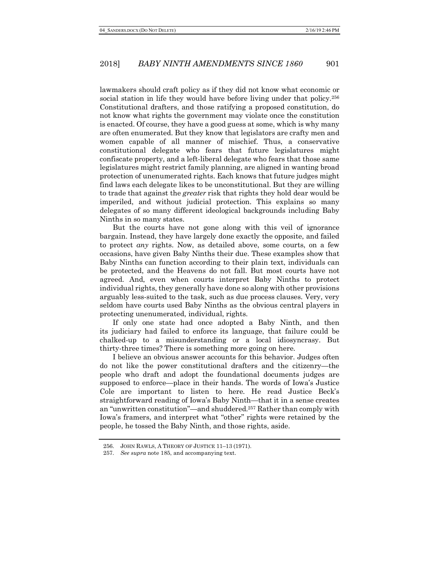lawmakers should craft policy as if they did not know what economic or social station in life they would have before living under that policy.<sup>256</sup> Constitutional drafters, and those ratifying a proposed constitution, do not know what rights the government may violate once the constitution is enacted. Of course, they have a good guess at some, which is why many are often enumerated. But they know that legislators are crafty men and women capable of all manner of mischief. Thus, a conservative constitutional delegate who fears that future legislatures might confiscate property, and a left-liberal delegate who fears that those same legislatures might restrict family planning, are aligned in wanting broad protection of unenumerated rights. Each knows that future judges might find laws each delegate likes to be unconstitutional. But they are willing to trade that against the *greater* risk that rights they hold dear would be imperiled, and without judicial protection. This explains so many delegates of so many different ideological backgrounds including Baby Ninths in so many states.

But the courts have not gone along with this veil of ignorance bargain. Instead, they have largely done exactly the opposite, and failed to protect *any* rights. Now, as detailed above, some courts, on a few occasions, have given Baby Ninths their due. These examples show that Baby Ninths can function according to their plain text, individuals can be protected, and the Heavens do not fall. But most courts have not agreed. And, even when courts interpret Baby Ninths to protect individual rights, they generally have done so along with other provisions arguably less-suited to the task, such as due process clauses. Very, very seldom have courts used Baby Ninths as the obvious central players in protecting unenumerated, individual, rights.

If only one state had once adopted a Baby Ninth, and then its judiciary had failed to enforce its language, that failure could be chalked-up to a misunderstanding or a local idiosyncrasy. But thirty-three times? There is something more going on here.

I believe an obvious answer accounts for this behavior. Judges often do not like the power constitutional drafters and the citizenry—the people who draft and adopt the foundational documents judges are supposed to enforce—place in their hands. The words of Iowa's Justice Cole are important to listen to here. He read Justice Beck's straightforward reading of Iowa's Baby Ninth—that it in a sense creates an "unwritten constitution"—and shuddered.257 Rather than comply with Iowa's framers, and interpret what "other" rights were retained by the people, he tossed the Baby Ninth, and those rights, aside.

<sup>256.</sup> JOHN RAWLS, A THEORY OF JUSTICE 11–13 (1971).

<sup>257.</sup> *See supra* note 185, and accompanying text.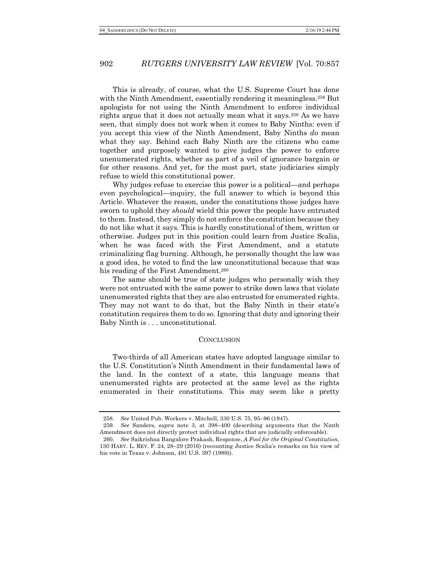This is already, of course, what the U.S. Supreme Court has done with the Ninth Amendment, essentially rendering it meaningless.258 But apologists for not using the Ninth Amendment to enforce individual rights argue that it does not actually mean what it says.259 As we have seen, that simply does not work when it comes to Baby Ninths: even if you accept this view of the Ninth Amendment, Baby Ninths *do* mean what they say. Behind each Baby Ninth are the citizens who came together and purposely wanted to give judges the power to enforce unenumerated rights, whether as part of a veil of ignorance bargain or for other reasons. And yet, for the most part, state judiciaries simply refuse to wield this constitutional power.

Why judges refuse to exercise this power is a political—and perhaps even psychological—inquiry, the full answer to which is beyond this Article. Whatever the reason, under the constitutions those judges have sworn to uphold they *should* wield this power the people have entrusted to them. Instead, they simply do not enforce the constitution because they do not like what it says. This is hardly constitutional of them, written or otherwise. Judges put in this position could learn from Justice Scalia, when he was faced with the First Amendment, and a statute criminalizing flag burning. Although, he personally thought the law was a good idea, he voted to find the law unconstitutional because that was his reading of the First Amendment.<sup>260</sup>

The same should be true of state judges who personally wish they were not entrusted with the same power to strike down laws that violate unenumerated rights that they are also entrusted for enumerated rights. They may not want to do that, but the Baby Ninth in their state's constitution requires them to do so. Ignoring that duty and ignoring their Baby Ninth is . . . unconstitutional.

## **CONCLUSION**

Two-thirds of all American states have adopted language similar to the U.S. Constitution's Ninth Amendment in their fundamental laws of the land. In the context of a state, this language means that unenumerated rights are protected at the same level as the rights enumerated in their constitutions. This may seem like a pretty

<sup>258.</sup> *See* United Pub. Workers v. Mitchell, 330 U.S. 75, 95–96 (1947).

<sup>259.</sup> *See* Sanders, *supra* note 3, at 398–400 (describing arguments that the Ninth Amendment does not directly protect individual rights that are judicially enforceable).

<sup>260.</sup> *See* Saikrishna Bangalore Prakash, Response, *A Fool for the Original Constitution*, 130 HARV. L. REV. F. 24, 28–29 (2016) (recounting Justice Scalia's remarks on his view of his vote in Texas v. Johnson, 491 U.S. 397 (1989)).